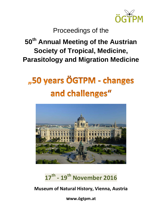

### Proceedings of the

### **50th Annual Meeting of the Austrian Society of Tropical, Medicine, Parasitology and Migration Medicine**

# "50 years ÖGTPM - changes and challenges"



### **17th - 19th November 2016**

**Museum of Natural History, Vienna, Austria**

**www.ögtpm.at**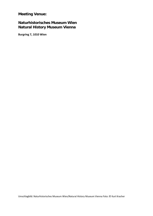**Meeting Venue:** 

#### **Naturhistorisches Museum Wien Natural History Museum Vienna**

**Burgring 7, 1010 Wien**

Umschlagbild: Naturhistorisches Museum Wien/Natural History Museum Vienna Foto: © Kurt Kracher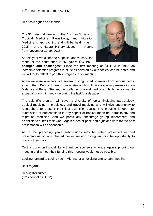Dear colleagues and friends,

The 50th Annual Meeting of the Austrian Society for Tropical Medicine, Parasitology and Migration Medicine is approaching and will be held - as in 2015 – at the Natural History Museum in Vienna from November 17-19, 2016.

As this year we celebrate a special anniversary, the motto of the conference is *"***50 years ÖGTPM -**



**changes and challenges***"*. Since the first meeting of ÖGTPM in 1966 an incredible scientific progress in all fields covered by our society can be noted and we will try to reflect in part this progress in our meeting.

Again we were able to invite several distinguished speakers from various fields, among them Dennis Shanks from Australia who will give a special presentation on Malaria and Robert Steffen, the godfather of travel medicine, which has evolved to a special branch in medicine during the last four decades.

The scientific program will cover a diversity of topics, including parasitology, tropical medicine, microbiology and travel medicine and will give opportunity to researchers to present their last scientific results. The meeting is open for submission of presentations in any aspect of tropical medicine, parasitology and migration medicine. And we particularly encourage young researchers and scientists to submit their work: Again a poster price and a junior award for the best presentation will be sponsored.

As in the preceding years submissions may be either presented as oral presentations or in a chaired poster session giving authors the opportunity to present their work.

On this occasion I would like to thank our sponsors, who are again supporting our meeting and without their funding this meeting would not be possible.

Looking forward to seeing you in Vienna for an exciting anniversary meeting

Best regards

Herwig Kollaritsch (president of ÖGTPM)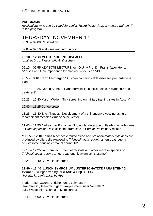#### **PROGRAMME**

*Applications who can be voted for Junior Award/Poster Prize a marked with an "\*" in the program.*

### THURSDAY, NOVEMBER 17<sup>th</sup> 08:30 – 09:00 Registration

09:00 – 09:10 Welcome and Introduction

#### **09:10 – 12:40 VECTOR-BORNE DISEASES**

*(chaired by: J. Walochnik, G. Duscher)*

09:10 – 09:55 KEYNOTE LECTURE em.O.Univ.Prof.Dr. Franz Xaver Heinz "Viruses and their importance for mankind – focus on VBD"

9:55 – 10:10 Franz Allerberger: "Austrian communicable diseases prepardeness plan"

10:10 – 10:25 Gerold Stanek: "Lyme borreliosis: conflict points in diagnosis and treatment"

10:25 – 10:40 Martin Weiler: "Tick screening on military training sites in Austria"

#### 10:40 – 11:25 Coffee break

11:25 – 11:40 Erich Tauber: "Development of a chikungunya vaccine using a recombinant measles virus vaccine vector"

11:40 – 11:55 Aleksandar Potkonjak: "Molecular detection of flea-borne pathogens in *Ctenocephalides felis* collected from cats in Serbia: Preliminary results"

\*11:55 – 12:10 Tomáš Macháček: "Nitric oxide and proinflammatory cytokines are produced by glial cells exposed to *Trichobilharzia regenti*, a neuropathogenic schistosome causing cercarial dermatitis"

12:10 – 12:25 Jan Pankrác: "Effect of radicals and other reactive species on *Trichobilharzia regenti*, a neuropathogenic avian schistosome"

#### 12:25 – 12:40 Convenience break

#### **12:40 – 13:40 LUNCH SYMPOSIUM "UNTERSCHÄTZTE PARASITEN" (in German): (Organized by INSTAND & ÖQUASTA)**

*(Vorsitz: K. Janitschke, H. Auer)*

Ingrid Reiter-Owona: "Trichomonas beim Mann" Uwe Gross: "Beeinträchtigen Toxoplasmen unser Verhalten" Julia Walochnik: "Giardia in Mitteleuropa"

13:40 – 14:00 Convenience break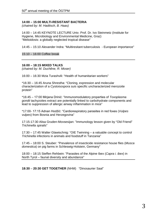#### **14:00 – 15:00 MULTI-RESISTANT BACTERIA**

*(chaired by: M. Haditsch, B. Haas)*

14:00 – 14:45 KEYNOTE LECTURE Univ. Prof. Dr. Ivo Steinmetz (Institute for Hygiene, Microbiology and Environmental Medicine, Graz) "Melioidosis: a globally neglected tropical disease"

14:45 – 15:10 Alexander Indra: "Multiresitant tuberculosis - European importance"

15:10 – 16:00 Coffee break

#### **16:00 – 18:15 MIXED TALKS**

*(chaired by: M. Duchêne, R. Moser)*

16:00 – 16:30 Mzia Turashvili: "Health of humanitarian workers"

\*16:30 – 16:45 Aruna Shrestha: "Cloning, expression and molecular characterization of a *Cystoisospora suis* specific uncharacterized merozoite protein"

\*16:45 – 17:00 Mirjana Drinić: "Immunomodulatory properties of *Toxoplasma gondii* tachyzoites extract are potentially linked to carbohydrate components and lead to suppression of allergic airway inflammation in mice"

\*17:00- 17:15 Adnan Hodžić: "Cardiorespiratory parasites in red foxes (*Vulpes vulpes*) from Bosnia and Herzegovina"

17:15-17:30 Alisa Gruden-Movsesijan: "Immunology lesson given by "Old Friend" *Trichinella spiralis*"

17:30 – 17:45 Walter Glawischnig: "OIE Twinning – a valuable concept to control *Trichinella* infections in animals and foodstuff in Tanzania"

17:45 – 18:00 S. Steuber: "Prevalence of insecticide resistance house flies (*Musca domestica*) on pig farms in Schleswig-Holstein, Germany"

18:00 – 18:15 Steffen Rehbein: "Parasites of the Alpine Ibex (*Capra i. ibex*) in North Tyrol – faunal diversity and abundance"

**18:30** – **20:30 GET TOGETHER** (NHM) "Dinosaurier Saal"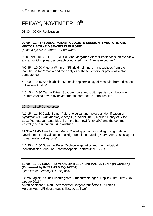### FRIDAY, NOVEMBER 18<sup>th</sup>

08:30 – 09:00 Registration

#### **09:00 – 11:45 "YOUNG PARASITOLOGISTS SESSION" : VECTORS AND VECTOR BORNE DISEASES IN EUROPE"**

*(chaired by: H.P.Fuehrer, U. Fürnkranz)*

9:00 – 9:45 KEYNOTE LECTURE Ana Margarida Alho: "Dirofilariosis, an overview and a multidisciplinary approach conducted in an European country"

\*09:45 – 10:00 Viktoria Wimmer: "Filarioid helminths in mosquitoes from the Danube Delta/Romania and the analysis of these vectors for potential vector competence"

\*10:00 – 10:15 Sarah Übleis: "Molecular epidemiology of mosquito-borne diseases in Eastern Austria"

\*10:15 – 10:30 Carina Zittra: "Spatiotemporal mosquito species distribution in Eastern Austria driven by environmental parameters - final results"

#### 10.30 – 11:15 Coffee break

\*11:15 – 11:30 David Ebmer: "Morphological and molecular identification of *Synhimantus (Synhimantus) laticeps* (Rudolphi, 1819) Railliet, Henry et Sisoff, 1912 (Nematoda, Acuariidae) from the barn owl (*Tyto alba*) and the common kestrel (*Falco tinnunculus*) in Austria"

11:30 – 11:45 Aline Lamien-Meda: "Novel approaches to diagnosing malaria. Development and validation of a High Resolution Melting Curve Analysis assay for human malaria diagnosis"

\*11:45 – 12:00 Susanne Reier: "Molecular genetics and morphological identification of Austrian Acanthocephala (Kohlreuther, 1771)"

#### **12:00 – 13:00 LUNCH SYMPOSIUM II "SEX und PARASITEN " (in German): (Organized by INSTAND & ÖQUASTA)**

*(Vorsitz: W. Graninger, H. Aspöck)*

Heimo Lagler: "Sexuell übertragbare Viruserkrankungen- HepB/C HIV, HPV, Zika-Update 2016"

Anton Aebischer: "Neu überarbeiteter Ratgeber für Ärzte zu Skabies" Herbert Auer: "Filzläuse (pubic lice, scrab lice)"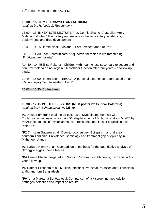#### **13:00 – 15:00 MALARIA/MILITARY MEDICINE**

*(chaired by: H. Nödl, G. Rosenmayr)*

13:00 – 13:45 KEYNOTE LECTURE Prof. Dennis Shanks (Australian Army Malaria Institute): "The military and malaria in the last century: epidemics, deployments and drug development"

13:45 – 14:15 Harald Nödl: " Malaria – Past, Present and Future "

14:15 – 14:30 Erich Schmutzhard: "Adjunctive therapies in life-threatening *P. falciparum* malaria"

\*14:30 – 14:45 Elisa Reiterer: "Children with hearing loss secondary to severe and cerebral malaria do not regain full cochlear function after four years – a follow-up study."

14:45 – 15:00 Rupert Bliem: "EBOLA: A personal experience report based on an EMLab deployment to western Africa"

15:00 – 15:30 Coffee break

**15:30 – 17:45 POSTER SESSIONS (NHM poster walls, near Cafeteria)** *(chaired by: I. Schabussova, M.* Drinić*)*

**P1** Ursula Fürnkranz et al.: In co-cultures of Mycoplasma hominis with Trichomonas vaginalis type strain G3, displacement of M. hominis strain Mh475 by MhAKH led to loss of mycoplasmal TET-resistance and loss of parasitic stress response

**\*P2** Christian Gatterer et al.: Door-to-door survey: Epilepsy in a rural area in southern Tanzania. Prevalence, semiology and treatment gap of epilepsy in Mahenge, Ulanga

**P3** Barbara Hinney et al.: Comparison of methods for the quantitative analysis of Strongyle eggs in horse faeces

**\*P4** Teresa Pfeiffenberger et al.: Nodding Syndrome in Mahenge, Tanzania, a 10 year follow up.

**P5** Trattner Elisabeth et al.: Multiple Intestinal Protozoal Parasites and Filariasis in a Migrant from Bangladesh

**\*P6** Anna-Margarita Schötta et al.:Comparison of tick-screening methods for pathogen detection and impact on results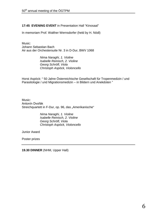#### **17:45 EVENING EVENT** in Presentation Hall "Kinosaal"

In memoriam Prof. Walther Wernsdorfer (held by H. Nödl)

Music: Johann Sebastian Bach Air aus der Orchestersuite Nr. 3 in D-Dur, BWV 1068

> *Nima Naraghi, 1. Violine Isabelle Reinisch, 2. Violine Georg Schröfl, Viola Christoph Aspöck, Violoncello*

Horst Aspöck: " 50 Jahre Österreichische Gesellschaft für Tropenmedizin / und Parasitologie / und Migrationsmedizin – in Bildern und Anekdoten "

Music: Antonín Dvořák Streichquartett in F-Dur, op. 96, das "Amerikanische"

> *Nima Naraghi, 1. Violine Isabelle Reinisch, 2. Violine Georg Schröfl, Viola Christoph Aspöck, Violoncello*

Junior Award

Poster prizes

**19.30 DINNER** (NHM, Upper Hall)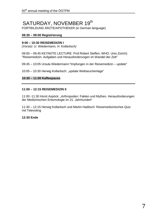## SATURDAY, NOVEMBER 19<sup>th</sup><br>FORTBILDUNG ÄRZTE/APOTHEKER (in German language)

#### **08:30 – 09:00 Registrierung**

#### **9:00 – 10:30 REISEMEDIZIN I**

*(Vorsitz: U. Wiedermann, H. Kollaritsch)*

09:00 – 09:45 KEYNOTE LECTURE: Prof.Robert Steffen, WHO, Univ.Zürich) "Reisemedizin: Aufgaben und Herausforderungen im Wandel der Zeit"

09:45 – 10:05 Ursula Wiedermann:"Impfungen in der Reisemedizin – update"

10:05 – 10:30 Herwig Kollaritsch: "update Weltseuchenlage"

#### **10:30 – 11:00 Kaffeepause**

#### **11:00 – 12:15 REISEMEDIZIN II**

11:00 -11:30 Horst Aspöck: "Arthropoden: Fakten und Mythen. Herausforderungen der Medizinischen Entomologie im 21. Jahrhundert"

11:30 – 12:15 Herwig Kollaritsch und Martin Haditsch: Reisemedizinisches Quiz mit Televoting

#### **12:30 Ende**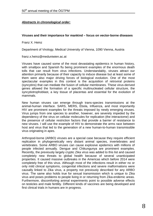#### *Abstracts in chronological order:*

#### **Viruses and their importance for mankind – focus on vector-borne diseases**

Franz X. Heinz

Department of Virology, Medical University of Vienna, 1090 Vienna, Austria

franz.x.heinz@meduniwien.ac.at

Viruses have caused some of the most devastating epidemics in human history, with smallpox and Spanish flu being prominent examples of the enormous death tolls that can result from virus infections. Understandably, viruses attract our attention primarily because of their capacity to induce disease but at least some of them were also major driving forces of biological evolution. One of the most spectacular examples in this context is the acquisition of retroviral proteins (syncytins) that can mediate the fusion of cellular membranes. These virus-derived genes allowed the formation of a specific multinucleated cellular structure, the syncytiotrophoblast, a key tissue of placentas and essential for the evolution of mammals.

New human viruses can emerge through trans-species transmissions at the animal-human interface. SARS, MERS, Ebola, Influenza, and most importantly HIV are prominent examples for the threats imposed by newly emerging viruses. Virus jumps from one species to another, however, are severely impeded by the dependency of the virus on cellular molecules for replication (the interactome) and the presence of cellular restriction factors that provide a barrier of resistance to new viruses. I will use the example of HIV to demonstrate the arms race between host and virus that led to the generation of a new human-to-human transmissible virus originating in apes.

Arthropod-borne (ARBO) viruses are a special case because they require efficient replication in phylogenetically very distant animal species, invertebrates and vertebrates. Some ARBO viruses can cause explosive epidemics with millions of people infected annually. Dengue and Chikungunya are prominent examples. Recently, the previously largely cryptic Zika virus was added to this list and caused completely new threats to global health because of several unanticipated properties. It caused massive outbreaks in the Americas which before 2014 were completely free of this virus. Although most of the infections result in either no or only mild clinical symptoms, congenital infections and severe malformations were causally linked to Zika virus, a property not previously described for any ARBO virus. The same also holds true for sexual transmission which is unique to Zika virus and poses problems to people living in or returning from Zika-endemic areas. Furthermore, discomforting animal experiments point to possible adverse effects on testicles and male fertility. Different kinds of vaccines are being developed and first clinical trials in humans are in progress.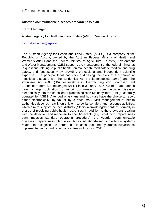#### **Austrian communicable diseases prepardeness plan**

Franz Allerberger

Austrian Agency for Health and Food Safety (AGES), Vienna, Austria

[franz.allerberger@ages.at](mailto:franz.allerberger@ages.at)

The Austrian Agency for Health and Food Safety (AGES) is a company of the Republic of Austria, owned by the [Austrian Federal Ministry of Health and](http://www.bmg.gv.at/cms/home/thema.html?channel=CH1013)  [Women's Affairs](http://www.bmg.gv.at/cms/home/thema.html?channel=CH1013) and the [Federal Ministry of Agriculture, Forestry, Environment](http://www.bmlfuw.gv.at/en.html)  [and Water Management.](http://www.bmlfuw.gv.at/en.html) AGES supports the management of the federal ministries in questions relating to public health, animal health, food safety, medical and drug safety, and food security by providing professional and independent scientific expertise. The principal legal basis for addressing the risks of the spread of infectious diseases are the Epidemics Act ("Epidemiegesetz 1950") and the Zoonoses Act 2005 ("Bundesgesetz zur Überwachung von Zoonosen und Zoonoseerregern (Zoonosengesetz)"). Since January 2014 Austrian laboratories have a legal obligation to report occurrence of communicable diseases electronically into the so-called "Epidemiologische Meldesystem (EMS)", centrally operated by AGES. Attended physicians and hospitals have the choice to report either electronically, by fax or by surface mail. Risk management of health authorities depends heavily on efficient surveillance, alert, and response activities, which aim to support the local districts ("Bezirksverwaltungsbehörden") formally in charge of providing public health responses. In addition to the provisions dealing with the detection and response to specific events (e.g. small pox preparedness plan; measles standard operating procedure), the Austrian communicable diseases preparedness plan also utilizes situation-based surveillance systems related to recognize the spread of diseases, e.g. the syndromic surveillance implemented in migrant reception centres in Austria in 2015.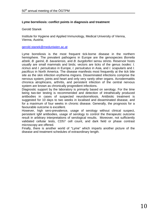#### **Lyme borreliosis: conflict points in diagnosis and treatment**

#### Gerold Stanek

Institute for Hygiene and Applied Immunology, Medical University of Vienna, Vienna, Austria;

#### [gerold.stanek@meduniwien.ac.at](mailto:gerold.stanek@meduniwien.ac.at)

Lyme borreliosis is the most frequent tick-borne disease in the northern hemisphere. The prevalent pathogens in Europe are the genospecies *Borrelia afzelii*, *B. garinii*, *B. bavariensis*, and *B. burgdorferi* sensu stricto. Reservoir hosts usually are small mammals and birds; vectors are ticks of the genus *Ixodes*: *I. ricinus* and *I. persulcatus* in Europe, *I. persulcatus* in Asia, and *I. scapularis* and *I. pacificus* in North America. The disease manifests most frequently at the tick bite site as the skin infection erythema migrans. Disseminated infections comprise the nervous system, joints and heart and only very rarely other organs. Acrodermatitis chronica atrophicans, arthritis, and persistent infection of the central nervous system are known as chronically progredient infections.

Diagnostic support by the laboratory is primarily based on serology. For the time being two-tier testing is recommended and detection of intrathecally produced antibodies in cases of suspected neuroborreliosis. Antibiotic treatment is suggested for 10 days to two weeks in localised and disseminated disease, and for a maximum of four weeks in chronic disease. Generally, the prognosis for a favourable outcome is excellent.

However, high sero-prevalence, usage of serology without clinical suspect, persistent IgM antibodies, usage of serology to control the therapeutic outcome result in arbitrary interpretations of serological results. Moreover, not sufficiently validated cellular tests, CD57 cell count, and dark field or phase contrast microscopy are offered.

Finally, there is another world of "Lyme" which imparts another picture of the disease and treatment schedules of extraordinary length.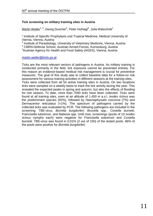#### **Tick screening on military training sites in Austria**

<u>Martin Weiler<sup>1, 3</sup>,</u> Georg Duscher<sup>2</sup>, Peter Hufnagl<sup>4</sup>, Julia Walochnik<sup>1</sup>

<sup>1</sup> Institute of Specific Prophylaxis und Tropical Medicine, Medical University of Vienna, Vienna, Austria

<sup>2</sup> Institute of Parasitology, University of Veterinary Medicine, Vienna, Austria

<sup>3</sup> CBRN-Defense School, Austrian Armed Forces, Korneuburg, Austria

<sup>4</sup> Austrian Agency for Health and Food Safety (AGES), Vienna, Austria

#### [martin.weiler@bmlv.gv.at](mailto:martin.weiler@bmlv.gv.at)

Ticks are the most relevant vectors of pathogens in Austria. As military training is conducted primarily in the field, tick exposure cannot be prevented entirely. For this reason an evidence-based medical risk management is crucial for preventive measures. The goal of this study was to collect baseline data for a follow-on risk assessment for various training activities in different seasons at the training sites. Ticks were collected from all 54 active training sites in Austria. On two locations

ticks were sampled on a weekly basis to track the tick activity during the year. This revealed the expected peaks in spring and autumn, but also the effects of flooding for one season. To date, more than 7000 ticks have been collected. Ticks were found at all training sites, even at an altitude of 1,450 m a.s.l. *Ixodes ricinus* was the predominant species (92%), followed by *Haemaphysalis concinna* (7%) and *Dermacentor reticulatus* (<1%). The spectrum of pathogens carried by the collected ticks was evaluated by PCR. The following pathogens are included in the screening: TBE-virus, *Borrelia burgdorferi, Brucella* spp.*, Coxiella burnetii, Francisella tularensis,* and *Babesia* spp. Until now, screenings (pools of 10 *Ixodes ricinus* nymphs each) were negative for *Francisella tularensis* and *Coxiella burnetii.* TBE-virus was found in 0,01% (2 out of 150) of the tested pools. 66% of the pools were positive for *Borrelia burgdorferi*.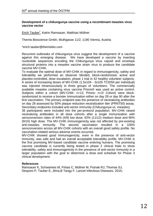#### **Development of a chikungunya vaccine using a recombinant measles virus vaccine vector**

Erich Tauber<sup>\*</sup>, Katrin Ramsauer, Matthias Müllner

Themis Bioscience Gmbh, Muthgasse 11/2, 1190 Vienna, Austria

\*erich.tauber@themisbio.com

Recurrent outbreaks of chikungunya virus suggest the development of a vaccine against this emerging disease. We have developed a vaccine by inserting nucleotide sequences encoding the Chikungunya virus capsid and envelope structural proteins into a measles vaccine strain virus to produce the candidate vaccine MV-CHIK.

To evaluate the optimal dose of MV-CHIK in regard to immunogenicity, safety and tolerability we performed an observer blinded, block-randomized, active and placebo-controlled, dose escalation, phase 1 trial in 42 healthy volunteer subjects. A series of increasing doses of MV-CHIK (1.5x104 - 3x105 TCID50 per individual) was injected intramuscularly in three groups of volunteers. The commercially available measles containing virus vaccine Priorix® was used as active control. Subjects within a cohort (MV-CHIK: n=12, Priorix: n=2/ Cohort) were blockrandomized to receive a booster immunization either on day 28 or day 90 after the first vaccination. The primary endpoint was the presence of neutralizing antibodies on day 28 assessed by 50% plaque reduction neutralization titer (PRNT50) assay. Secondary endpoints included anti-vector immunity (Chikungunya vs. measles).

36 participants were included into the per-protocol population. MV-CHIK raised neutralizing antibodies in all dose cohorts after a single immunization with seroconversion rates of 44% (4/9) low dose, 92% (11/12) medium dose and 90% (9/10) high dose. The MV-CHIK immunogenicity was not affected by pre-existing anti-measles immunity. The second vaccination resulted in a 100% seroconversion across all MV-CHIK cohorts with an overall good safety profile. No vaccination-related serious adverse events occurred.

MV-CHIK showed good immunogenicity, even in the presence of anti-vector immunity, was safe and had an overall acceptable tolerability profile. MV-CHIK is the first promising MV-based candidate vaccine entering humans. The promising vaccine candidate is currently being tested in phase 2 clinical trials to show tolerability, safety and immunogenicity in the presence of anti-vector immunity in a larger population with the goal to determine a dose and schedule for Phase 3 clinical development.

#### **References**

Ramsauer K, Schwameis M, Firbas C, Müllner M, Putnak RJ, Thomas SJ, Despres P, Tauber E, Jilma,B Tangy F. Lancet Infectious Diseases. 2015;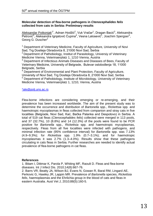#### **Molecular detection of flea-borne pathogens in** *Ctenocephalides felis* **collected from cats in Serbia: Preliminary results**

Aleksandar Potkonjak<sup>1\*</sup>, Adnan Hodžić<sup>2</sup>, Vuk Vračar<sup>1</sup>, Dragan Bacić<sup>3</sup>, Aleksandra Petrović<sup>4</sup>, Aleksandra Ignjatović Ćupina<sup>4</sup>, Vesna Lalosević<sup>1</sup>, Joachim Spergser<sup>5</sup>, Georg G. Duscher<sup>2</sup>

 $1$  Department of Veterinary Medicine, Faculty of Agriculture, University of Novi Sad, Trg Dositeja Obradovića 8, 21000 Novi Sad, Serbia

<sup>2</sup> Department of Pathobiology, Institut of Parasitology, Universiy of Veterinary Medicine Vienna, Veterinaerplatz 1, 1210 Vienna, Austria

 $3$  Department of Infectious Animals Diseases and Diseases of Bees, Faculty of Veterinary Medicine, University of Belgrade, Bulevar oslobođenja 18, 11000 Belgrade, Serbia

<sup>4</sup> Department of Environmental and Plant Protection, Faculty of Agriculture, University of Novi Sad, Trg Dositeja Obradovića 8, 21000 Novi Sad, Serbia

<sup>5</sup> Department of Pathobiology, Institute of Microbiology, University of Veterinary Medicine Vienna, Veterinaerplatz 1, 1210, Vienna, Austria

[\\*ale@polj.uns.ac.rs](mailto:*ale@polj.uns.ac.rs)

Flea-borne infections are considering emerging or re-emerging, and their prevalence has been increased worldwide. The aim of the present study was to determine the occurrence and distribution of *Bartonella* spp., *Rickettsia* spp. and haemotropic mycoplasmas in fleas collected from companion and stray cats in five localities (Belgrade, Novi Sad, Kać, Bačka Palanka and Despotovo) in Serbia. A total of 519 cat fleas (*Ctenocephalides felis*) collected were merged in 113 pools, and 37 (32.7%), 10 (8.8%) and 14 (12.3%) of the pools were found to be PCR positive for *Bartonella* spp., *Rickettsia* spp. and haemotropic mycoplasmas, respectively. Fleas from all five localities were infected with pathogens, and minimal infection rate (95% confidence interval) for *Bartonella* spp. was 7.13% (4.9–9.3%); for *Rickettsia* spp. 1.9% (0.7–3.1%); and for haemotropic mycoplasmas it was 2.7% (1.3–4.0%). Results show that these pathogens circulating in cats fleas in Serbia. Further researches are needed to identify actual prevalence of flea-borne pathogens in cat fleas.

#### **References**

1. Bitam I, Dittmar K, Parola P, Whiting MF, Raoult D. Fleas and flea-borne diseases. Int J Infect Dis. 2010;14(8):667-76.

2. Barrs VR, Beatty JA, Wilson BJ, Evans N, Gowan R, Baral RM, Lingard AE, Perkovic G, Hawley JR, Lappin MR. Prevalence of *Bartonella* species, *Rickettsia felis*, haemoplasmas and the Ehrlichia group in the blood of cats and fleas in eastern Australia. Aust Vet J, 2010;88(5):160-5.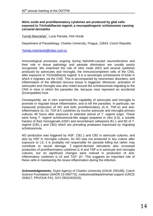#### **Nitric oxide and proinflammatory cytokines are produced by glial cells exposed to** *Trichobilharzia regenti***, a neuropathogenic schistosome causing cercarial dermatitis**

<u>Tomáš Macháček<sup>\*</sup>,</u> Lucie Panská, Petr Horák

Department of Parasitology, Charles University, Prague, 12843, Czech Republic

[\\*tomas.machacek@natur.cuni.cz](mailto:*tomas.machacek@natur.cuni.cz)

Immunological processes ongoing during helminth-caused neuroinfections and their role in tissue pathology and parasite elimination are usually poorly recognized. We examined the role of nitric oxide (NO) and several cytokines produced by astrocytes and microglia, the immunocompetent cells of the CNS, after exposure to *Trichobilharzia regenti*. It is a neurotropic schistosome of birds in which it migrates *via* the CNS. This is accompanied by neuromotor disorders, and inflammation of the affected nervous tissue is triggered. Moreover, activation of astrocytes and microglia was also noted around the schistosomula migrating to the CNS in mice in which the parasites die, because mice represent an accidental (incompatible) host.

Consequently, we *in vitro* examined the capability of astrocytes and microglia to promote or regulate tissue inflammation, and to kill the parasites. In particular, we measured production of NO and both proinflammatory (IL-6, TNF-α) and antiinflammatory (IL-10, TGF-β1) cytokines by murine astrocyte and microglia primary cultures 48 hours after exposure to selected stimuli of *T. regenti* origin. These were living *T. regenti* schistosomula-like stages prepared *in vitro* (LS), a soluble fraction of their homogenate (HSF) and recombinant cathepsins B1.1 and B2 of *T. regenti* (CB1.1 and CB2) which are prevailing proteases expressed by migrating schistosomula.

NO production was triggered by HSF, CB1.1 and CB2 in astrocyte cultures, and also by HSF in microglia cultures. As NO was not produced in any culture after exposure to LS, it is probably not responsible for parasite killing but rather may contribute to neural damage. *T. regenti*-derived stimulants also increased production of proinflammatory cytokines IL-6 and TNF-α in astrocyte and microglia cultures, but no significant changes were noticed in production of antiinflammatory cytokines IL-10 and TGF- β1. This suggests an important role of these cells in maintaining the tissue inflammation during the infection.

**Acknowledgements:** Grant Agency of Charles University (GAUK 250198), Czech Science Foundation (GAČR 13-29577S), institutional/departmental support (UNCE 204017, PRVOUK P41, SVV 260319/2016).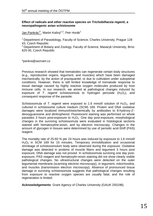#### **Effect of radicals and other reactive species on** *Trichobilharzia regenti***, a neuropathogenic avian schistosome**

Jan Pankrác<sup>1\*</sup>, Martin Kašný<sup>1,2</sup>, Petr Horák<sup>1</sup>

<sup>1</sup> Department of Parasitology, Faculty of Science, Charles University, Prague 128 43, Czech Republic

 $2$  Department of Botany and Zoology, Faculty of Science, Masaryk University, Brno 625 00, Czech Republic

\*pankra@seznam.cz

Previous research showed that trematodes can regenerate certain body structures (e.g., reproductive organs, tegument, and muscles) which have been damaged mechanically, by the action of praziquantel, or due to cultivation under suboptimal conditions. However, there is still limited knowledge of trematode response to tissue damage caused by highly reactive oxygen molecules produced by host immune cells. In our research, we aimed at pathological changes induced by exposure of *T. regenti* schistosomula to hydrogen peroxide  $(H_2O_2)$ , and consequent response of the parasite.

Schistosomula of *T. regenti* were exposed to 1.6 mmol/l solution of  $H_2O_2$ , and cultured in schistosome culture medium (SCM) 169. Protein and DNA oxidative damages were localized immunohistochemically by antibodies to 8-hydroxy-2' deoxyguanosine and dinitrophenol. Fluorescent staining was performed on whole parasites 3 hours post-exposure to  $H_2O_2$ . One day post-exposure, morphological changes in the surviving schistosomula were evaluated in histological sections stained with hematoxyline-eosin, and by electron microscopy. Changes in the amount of glycogen in tissues were determined by use of periodic acid-Shiff (PAS) reagent.

The mortality rate of 25-60 % per 24 hours was induced by exposure to 1.6 mmol/l  $H<sub>2</sub>O<sub>2</sub>$  in SCM 169 for 15 minutes. Temporary immobilization and occasional shrinkage of schistosomulum body were observed during the exposure. Oxidative damage was detected in proteins of muscle fibers and tegument 3 hours post exposure, DNA damage was not proved. In schistosomula surviving one day postexposure, PAS reagent and hematoxylin-eosin staining did not show clearly visible pathological changes. No ultrastructural changes were detected on the outer tegumental membrane (scanning electron microscopy), in tegument, mitochondria, and muscles (transmission electron microscopy). Absence of pronounced tissue damage in surviving schistosomula suggests that pathological changes resulting from exposure to reactive oxygen species are usually fatal, and the role of regeneration is limited.

**Acknowledgements**: Grant Agency of Charles University (GAUK 250198).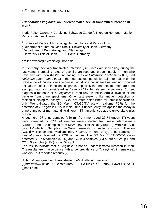#### *Trichomonas vaginalis***: an underestimated sexual transmitted infection in men?**

Ingrid Reiter-Owona<sup>1\*</sup>, Carolynne Schwarze-Zander<sup>2</sup>, Thorsten Hornung<sup>3</sup>, Marijo Parcina<sup>1</sup>, Achim Hoerauf<sup>1</sup>

<sup>1</sup> Institute of Medical Microbiology, Immunology and Parasitology  $2$  Department of Internal Medicine 1, University of Bonn, Germany

<sup>3</sup> Department of Dermatology and Allergology

University Clinic of Bonn, 53105 Bonn, Germany

\* reiter-owona@microbiology-bonn.de

In Germany, sexually transmitted infection (STI) rates are increasing during the last years. Increasing rates of syphilis are recorded predominately in men who have sex with men (MSM), increasing rates of *Chlamydia trachomatis* (CT) und *Neisseria gonorrhoeae* (GC) in the heterosexual population [1]. Information on the prevalence of *Trichomonas vaginalis*, worldwide considered as leading non-viral sexually transmitted infection, is sparse, especially in men. Infected men are often asymptomatic and considered as "reservoir" for female sexual partners. Current diagnostic methods of *T. vaginalis* in men rely on the in vitro cultivation of the parasite from urine specimens. Other test systems like antigen detection or molecular biological assays (PCRs) are often established for female specimens, only. We validated the BD Max<sup>TM</sup> CT/GC/TV assay (real-time PCR) for the detection of *T. vaginalis* DNA in male urine. Subsequently, we applied the assay in urine samples of men attending different STI ambulances at the university clinics of Bonn.

Altogether, 197 urine samples (≥10 ml) from men aged 20-74 (mean 37) years were screened by PCR. 94 samples were collected from male heterosexuals (Group I) and 103 samples from MSM, gay or bisexual (Group II), with history of past HIV infection. Samples from Group I were also submitted to in vitro cultivation (Oxoid™ Trichomonas Medium, min. 7 days). In none of the urine samples *T. vaginalis* was detected by PCR or culture. The BD Max<sup>™</sup> CT/GC/TV assay detected CT in 5 samples (5.3%) and GC in 4 samples (4.3%) out of Group I, and CT in 5 samples (4.9%) out of Group II.

The results indicate that *T. vaginalis* is not an underestimated infection in men. The results are in accordance with a low prevalence of *T. vaginalis* in female sex workers (3%) reported recently [2].

[1] http://www.geschlechtskrankheiten.de/aktuelle-informationen [2]https://www.rki.de/DE/Content/InfAZ/S/STI/Studien/KABPsurvSTI/KABPsurvSTI \_inhalt.html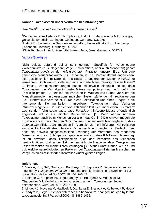#### **Können Toxoplasmen unser Verhalten beeinträchtigen?**

<u>Uwe Groß<sup>1,\*</sup>,</u> Tobias Sommer-Blöchl<sup>2</sup>, Christian Gaser<sup>3</sup>

1 Deutsches Konsiliarlabor für Toxoplasma, Institut für Medizinische Mikrobiologie, Universitätsmedizin Göttingen, Göttingen, Germany, D37075 <sup>2</sup>Institut für Systemische Neurowissenschaften, Universitätsklinikum Hamburg-Eppendorf, Hamburg, Germany, D20248 <sup>3</sup>Klinik für Neurologie, Universitätsklinikum Jena, Jena, Germany, D07747

#### [\\*ugross@gwdg.de](mailto:ugross@gwdg.de)

Nicht zuletzt aufgrund seiner sehr geringen Spezifität für verschiedene Zwischenwirte (z. B. Nagetiere, Vögel, Schlachttiere, aber auch Menschen) gehört *Toxoplasma gondii* zu den erfolgreichsten Parasiten unserer Erde. Um eine genetische Variabilität aufrecht zu erhalten, ist der Parasit darauf angewiesen, sich geschlechtlich im Darm der als Endwirte fungierenden Katzen (*Felidae*) zu vermehren. Doch warum sollte sich eine infizierte Maus freiwillig fressen lassen? Zahlreiche Versuchsanordnungen haben mittlerweile eindeutig belegt, dass Toxoplasmen das Verhalten infizierter Mäuse manipulieren und hierfür tief in die Trickkiste greifen. So befallen die Parasiten in Mäusen und Ratten vor allem die Mandelkernregion. In dieser zum limbischen System zählenden Hirnregion werden u.a. Fluchtreflexe verarbeitet. Durch diese Lokalisation und einen Eingriff in die interneuronale Kommunikation manipulieren Toxoplasmen das Verhalten infizierter Nagetiere: Der Geruch von Katzenurin löst nicht mehr einen Fluchtreflex aus, sondern führt sogar dazu, dass *Toxoplasma*-infizierte Mäuse offensichtlich angelockt und so zur leichten Beute werden [1]. Doch warum infizieren Toxoplasmen auch beim Menschen vor allem das Gehirn? Die Antwort mögen die Ergebnisse von Versuchen an Schimpansen bringen: Auch hier zeigte sich, dass *Toxoplasma*-infizierte Schimpansen im Vergleich zu nicht infizierten Kontrolltieren ein signifikant verstärktes Interesse für Leopardenurin zeigten [2]. Bedenkt man, dass die entwicklungsgeschichtliche Trennung der Vorfahren des modernen Menschen und von Schimpansen gerade einmal vor etwa 8 Millionen Jahren lag, ist zu erwarten, dass Toxoplasmen auch das Verhalten des Menschen beeinträchtigen. Und in der Tat mehren sich die Hinweise, dass Toxoplasmen unser Verhalten zu manipulieren vermögen [3]. Aktuell untersuchen wir, ob und ggf. welche neurobiologischen Faktoren bei *Toxoplasma*-infizierten Menschen im Vergleich zu nicht-infizierten Kontrollen Auffälligkeiten zeigen.

#### **References**

1. Vyas A, Kim, S-K, Giacomini, Boothroyd JC, Sapolsky R. Behavioral changes induced by *Toxoplasma infection* of rodents are highly specific to aversion of cat odors. [Proc Natl Acad Sci 2](https://www.ncbi.nlm.nih.gov/pubmed/?term=vyas+and+boothroyd+and+toxoplasma)007; 104:6442-6447.

2. Poirotte C, Kappeler PM, Ngoubangoye B, Bourgeois S, Moussodji M, Charpentier MJ. [Morbid attraction to leopard](https://www.ncbi.nlm.nih.gov/pubmed/26859275) urine in *Toxoplasma*-infected [chimpanzees.](https://www.ncbi.nlm.nih.gov/pubmed/26859275) Curr Biol 2016; 26:R98-99.

3. Lindová J, Novotná M, Havlícek J, Jozífková E, Skallová A, Kolbeková P, Hodný Z, Kodym P, Flegr J. [Gender differences in behavioural changes induced by latent](https://www.ncbi.nlm.nih.gov/pubmed/16978630)  [toxoplasmosis.](https://www.ncbi.nlm.nih.gov/pubmed/16978630) Int J Parasitol 2006; 36:1485-1492.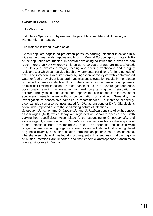#### *Giardia* **in Central Europe**

Julia Walochnik

Institute for Specific Prophylaxis and Tropical Medicine, Medical University of Vienna, Vienna, Austria;

julia.walochnik@meduniwien.ac.at

*Giardia* spp. are flagellated protozoan parasites causing intestinal infections in a wide range of mammals, reptiles and birds. In Central Europe, approximately 2-4% of the population are infected, in several developing countries the prevalence can reach more than 40% whereby children up to 10 years of age are most affected. The life cycle involves a fragile, feeding and dividing trophozoite and a highly resistant cyst which can survive harsh environmental conditions for long periods of time. The infection is acquired orally by ingestion of the cysts with contaminated water or food or by direct fecal-oral transmission. Excystation results in the release of motile trophozoites which multiply in the small intestine causing asymptomatic or mild self-limiting infections in most cases or acute to severe gastroenteritis, occasionally resulting in malabsorption and long term growth retardation in children. The cysts, in acute cases the trophozoites, can be detected in fresh stool specimens, usually even without concentration or staining. Generally, the investigation of consecutive samples is recommended. To increase sensitivity, stool samples can also be investigated for *Giardia* antigens or DNA. Giardiosis is often under-reported due to the self-limiting nature of infections.

*G. duodenalis* (synonyms *G. intestinalis* and *G. lamblia*) consists of eight genetic assemblages (A-H), which today are regarded as separate species each with varying host specificities. Assemblage A, corresponding to *G. duodenalis*, and assemblage B, corresponding to *G. enterica*, are responsible for the majority of human infections. Both, assemblages A and B, are zoonotic and infect a wide range of animals including dogs, cats, livestock and wildlife. In Austria, a high level of genetic diversity of strains isolated form human patients has been detected, whereby assemblage B was found most frequently. This suggests that the majority of human infections are imported and that endemic anthroponotic transmission plays a minor role in Austria.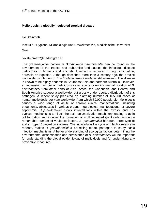#### **Melioidosis: a globally neglected tropical disease**

Ivo Steinmetz

Institut für Hygiene, Mikrobiologie und Umweltmedizin, Medizinische Universität

Graz

ivo.steinmetz@medunigraz.at

The gram-negative bacterium *Burkholderia pseudomallei* can be found in the environment of the tropics and subtropics and causes the infectious disease melioidosis in humans and animals. Infection is acquired through inoculation, aerosols or ingestion. Although described more than a century ago, the precise worldwide distribution of *Burkholderia pseudomallei* is still unknown. The disease is known to be highly endemic in Southeast Asia and northern Australia. However, an increasing number of melioidosis case reports or environmental isolation of *B. pseudomallei* from other parts of Asia, Africa, the Caribbean, and Central and South America suggest a worldwide, but grossly underreported distribution of this pathogen. A recent study predicted an alarming number of 165,000 cases of human melioidosis per year worldwide, from which 89,000 people die. Melioidosis causes a wide range of acute or chronic clinical manifestations, including pneumonia, abscesses in various organs, neurological manifestations, or severe septicemia. *B. pseudomallei* grows intracellularly within the cytosol and has evolved mechanisms to hijack the actin polymerization machinery leading to actin tail formation and induces the formation of multinucleated giant cells. Among a remarkable number of virulence factors, *B. pseudomallei* harbours three type III and six type VI secretion systems. The intracellular life cycle and high virulence in rodents, makes *B. pseudomallei* a promising model pathogen to study basic infection mechanisms. A better understanding of ecological factors determining the environmental dissemination and persistence of *B. pseudomallei* will be important for understanding the global epidemiology of melioidosis and for undertaking any preventive measures.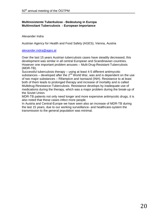#### **Multiresistente Tuberkulose - Bedeutung in Europa Multiresitant Tuberculosis - European Importance**

Alexander Indra

Austrian Agency for Health and Food Safety (AGES), Vienna, Austria

#### [alexander.indra@ages.at](mailto:alexander.indra@ages.at)

Over the last 15 years Austrian tuberculosis cases have steadily decreased, this development was similar in all central European and Scandinavian countries. However one important problem arouses – Multi-Drug-Resistant-Tuberculosis (MDR-TB).

Successful tuberculosis therapy – using at least 4-5 different antimycotic substances – developed after the  $2^{nd}$  World War, was and is dependent on the use of two major substances – Rifampicin and Isoniazid (INH). Resistance to at least both of them leads to prolonged therapy and increase of mortality and is called Multidrug-Resistance-Tuberculosis. Resistance develops by inadequate use of medications during the therapy, which was a major problem during the break-up of the Soviet Union.

MDR-TB patients not only need longer and more expensive antimycotic drugs, it is also noted that these cases infect more people.

In Austria and Central-Europe we have seen also an increase of MDR-TB during the last 15 years, due to our working surveillance- and healthcare-system the transmission to the general population was minimal.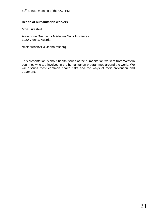#### **Health of humanitarian workers**

Mzia Turashvili

Ärzte ohne Grenzen - Médecins Sans Frontières 1020 Vienna, Austria

\*mzia.turashvili@vienna.msf.org

This presentation is about health issues of the humanitarian workers from Western countries who are involved in the humanitarian programmes around the world. We will discuss most common health risks and the ways of their prevention and treatment.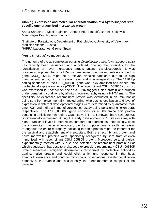#### **Cloning, expression and molecular characterization of a** *Cystoisospora suis* **specific uncharacterized merozoites protein**

Aruna Shrestha<sup>1\*</sup>, Nicola Palmieri<sup>1</sup>, Ahmed Abd-Elfattah<sup>1</sup>, Bärbel Ruttkowski<sup>1</sup>,  $\overline{\mathsf{Marc}}$  Pagès Bosch<sup>2</sup>, Anja Joachim<sup>1</sup>

<sup>1</sup>Institute of Parasitology, Department of Pathobiology, University of Veterinary Medicine Vienna, Austria <sup>2</sup>HIPRA Laboratorios, Girona, Spain

\*Aruna.shrestha@vetmeduni.ac.at

The genome of the apicomplexan parasite *Cystoisospora suis* (syn. *Isospora suis*) has recently been sequenced and annotated, opening the possibility for the identification of novel therapeutic targets against cystoisosporosis. It was previously proposed that a 42 kDa uncharacterized merozoites protein encoded by gene CSUI\_005805, might be a relevant vaccine candidate due to its high immunogenic score, high expression level and species-specificity. The 1170 bp coding sequence of the CSUI\_005805 gene was PCR amplified and cloned into the bacterial expression vector pQE-31. The recombinant CSUI\_005805 construct was expressed in *Escherichia coli* as a (His)<sub>6</sub> tagged fusion protein and purified under denaturing conditions by affinity chromatography using a NiNTA matrix. The specificity of expressed recombinant protein was evaluated in an immunoblot using sera from experimentally infected swine, whereas its localization and level of expression in different developmental stages were determined by quantitative realtime PCR and indirect immunofluorescence assay using polyclonal chicken sera, respectively. The CSUI 005805 gene encodes for a 389 amino acid protein containing a histidine-rich region. Quantitative RT-PCR showed that CSUI\_005805 is differentially expressed during the early development of *C. suis in vitro*, with higher transcript levels in merozoites compared to sporozoites. Interestingly, once the sporozoites invade enterocytes, the transcription level steadily increases throughout the entire merogony indicating that this protein might be important for the survival and establishment of merozoites. Both the recombinant protein and naïve merozoites proteins were specifically recognized by sera from chicken immunized with recombinant CSUI 005805 protein. Moreover, sera of piglets experimentally infected with *C. suis* also detected the recombinant protein, all of which suggested that despite prokaryotic expression, recombinant CSUI\_005805 protein maintained antigenic determinants recognized by protective antibodies against naïve protein and could elicit a immune response in the host. Immunofluorescence and confocal microscopic observations revealed localization primarily at the surface and, occasionally, the inner membrane complex of the parasite.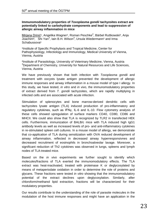#### **Immunomodulatory properties of** *Toxoplasma gondii* **tachyzoites extract are potentially linked to carbohydrate components and lead to suppression of allergic airway inflammation in mice**

Mirjana Drinić<sup>1</sup>, Angelika Wagner<sup>1</sup>, Roman Peschke<sup>2</sup>, Bärbel Ruttkowski<sup>2</sup>, Anja Joachim<sup>2</sup>, Shi Yan<sup>3</sup>, Iain B.H. Wilson<sup>3</sup>, Ursula Wiedermann<sup>1</sup> and Irma Schabussova<sup>1</sup>

<sup>1</sup>Institute of Specific Prophylaxis and Tropical Medicine, Center for Pathophysiology, Infectiology and Immunology, Medical University of Vienna, Vienna, Austria

²Institute of Parasitology, University of Veterinary Medicine, Vienna, Austria <sup>3</sup>Department of Chemistry, University for Natural Resources and Life Sciences, Vienna, Austria

We have previously shown that both infection with *Toxoplasma gondii* and treatment with oocysts lysate antigen prevented the development of allergic immune responses and airway inflammation in a mouse model of type I allergy. In this study, we have tested, *in vitro* and *in vivo*, the immunomodulatory properties of extract derived from *T. gondii* tachyzoites, which are rapidly multiplying in infected cells and are associated with acute infection.

Stimulation of splenocytes and bone marrow-derived dendritic cells with tachyzoites lysate antigen (TLA) induced production of pro-inflammatory and regulatory cytokines, such as IFNγ, IL-6 and IL-10. Flow cytometry analysis of these cells showed upregulation of surface markers CD40, CD80, CD86 and MHCII. We could also show that TLA is recognized by TLR2 in transfected HEK cells. Furthermore*,* immunization of BALB/c mice with TLA induced high IgG1 antibody levels as well as increased levels of pro- and anti-inflammatory cytokines in re-stimulated spleen cell cultures. In a mouse model of allergy, we demonstrate that co-application of TLA during sensitization with OVA reduced development of airway inflammation, reflected in decreased airway hyperresponsivnes and decreased recruitment of eosinophils in bronchoalveolar lavage. Moreover, a significant reduction of Th2 cytokines was observed in lungs, spleens and lymph nodes of TLA-treated mice.

Based on the *in vivo* experiments we further sought to identify which molecules/fractions of TLA exerted the immunomodulatory effects. The TLA extract was heat-inactivated, treated with proteinase K or deglycosylated by means of metaperiodate oxidation in order to determine the role of proteins and glycans. These fractions were tested *in vitro* showing that the immunomodulatory potential of the extract declines upon deglycosylation. Similarly, after chloroform/methanol lipid extraction, fractions will be characterized for their modulatory properties.

Our results contribute to the understanding of the role of parasite molecules in the modulation of the host immune responses and might have an application in the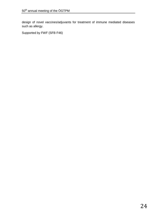design of novel vaccines/adjuvants for treatment of immune mediated diseases such as allergy.

Supported by FWF (SFB F46)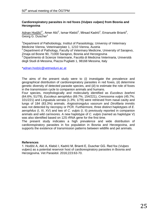#### **Cardiorespiratory parasites in red foxes (***Vulpes vulpes***) from Bosnia and Herzegovina**

 $A$ dnan Hodžić<sup>1\*</sup>, Amer Alić<sup>2</sup>, Ismar Klebić<sup>2</sup>, Mirsad Kadrić<sup>2</sup>, Emanuele Brianti<sup>3</sup>, Georg G. Duscher<sup>1</sup>

<sup>1</sup>Department of Pathobiology, Institut of Parasitology, Universiy of Veterinary Medicine Vienna, Veterinaerplatz 1, 1210 Vienna, Austria

<sup>2</sup> Department of Pathology, Faculty of Veterinary Medicine, University of Sarajevo, Zmaja od Bosne 90, 71000 Sarajevo, Bosnia and Herzegovina

<sup>3</sup> Dipartimento di Scienze Veterinarie, Facoltà di Medicina Veterinaria, Università degli Studi di Messina, Piazza Pugliatti 1, 98168 Messina, Italy

[\\*adnan.hodzic@vetmeduni.ac.at](mailto:adnan.hodzic@vetmeduni.ac.at)

The aims of the present study were to (*i*) investigate the prevalence and geographical distribution of cardiorespiratory parasites in red foxes, (*ii*) determine genetic diversity of detected parasite species, and (*iii*) to estimate the role of foxes in the transmission cycle to companion animals and humans.

Four species, morphologically and molecularly identified as *Eucoleus boehmi* (64.6%; 51/79), *Eucoleus aerophilus* (69.7%; 154/221), *Crenosoma vulpis* (45.7%; 101/221) and *Linguatula serrata* (1.3%; 1/79) were retrieved from nasal cavity and lungs of 184 (83.3%) animals. *Angiostrongylus vasorum* and *Dirofilaria immitis* was not detected by necropsy or PCR. Furthermore, three distinct haplotypes of *E. aerophilus* (I, III, XV) and two of *C. vulpis* (I, II) previously reported in companion animals and wild carnivores. A new haplotype of *C. vulpis* (named as haplotype V) was also identified based on 12S rRNA gene for the first time.

The present study indicates a high prevalence and wide distribution of cardiorespiratory parasites in fox population in Bosnia and Herzegovina, and supports the existence of transmission patterns between wildlife and pet animals.

#### **References**

1. Hodžić A, Alić A, Klebić I, Kadrić M, Brianti E, Duscher GG. Red fox (*Vulpes vulpes*) as a potential reservoir host of cardiorespiratory parasites in Bosnia and Herzegovina. Vet Parasitol. 2016;223:63-70.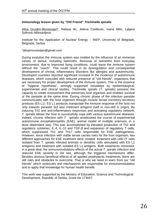#### **Immunology lesson given by "Old Friend"** *Trichinella spiralis*

Alisa Gruden-Movsesijan\*, Natasa Ilic, Jelena Cvetkovic, Ivana Mitic, Ljiljana Sofronic-Milosavljevic

Institute for the Application of Nuclear Energy – INEP, University of Belgrade, Belgrade, Serbia

#### \*alisamovsesijan@gmail.com

During evolution the immune system was molded by the influence of an immense variety of stimuli, including helminths. Removal of helminths from everyday environment, due to improved living conditions, could leave the immune system without the "coach". This could result in its dysregulation and consequential development of chronic inflammatory disorders like allergies and autoimmunity. Developed countries reported significant increase in the incidence of autoimmune diseases, which coincided with reduced presence of "old friends", organisms that are necessary for proper development of the immune system. This is the essence of "hygiene hypothesis", strongly supported nowadays by epidemiological, experimental and clinical studies. *Trichinella spiralis* (*T. spiralis*) possess the capacity to create environment that preserves host organism and enables survival of the parasite at the same time. During chronic phase of the infection parasite communicates with the host organism through muscle larvae excretory-secretory products (ES L1). ES L1 products manipulate the immune response of the host not only towards parasitic but also irrelevant antigens (self or non-self in origin). By inducing Th2 and anti-inflammatory responses and activating regulatory network, *T. spiralis* allows the host to successfully cope with various autoimmune diseases. Indeed, chronic infection with *T. spiralis* ameliorated the course of experimental autoimmune encephalomyelitis (EAE), animal model of multiple sclerosis, in a dose dependent way. This was accomplished by elevated production of Th2 and regulatory cytokines, IL-4, IL-10 and TGF-β and expansion of regulatory T cells, which suppressed Th1 and Th17 cells responsible for EAE pathogenesis. However, since infection with viable larvae carries risks for the host organism, two different approaches for EAE treatment were created: treatment with cells (T cells isolated from *T. spiralis* infected animals or dendritic cells stimulated with ES L1 antigens) and treatment with isolated ES L1 antigens. Both treatments mimicked, in a great deal, the immunomodulatory effects of the actual *T. spiralis* infection and reduced EAE severity in DA rats, although the triggered mechanisms differ. Besides obvious beneficial effects of all applied prophylactic treatments, there are still risks and obstacles to overcome. That is why we need to learn from our "old friends" which molecules and mechanisms are responsible for immunomodulation and to apply that knowledge for human health benefit.

This work was supported by the Ministry of Education, Science and Technological Development, Republic of Serbia, Grant No 173047.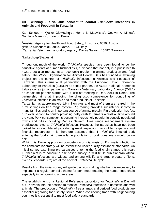#### **OIE Twinning – a valuable concept to control** *Trichinella* **infections in Animals and Foodstuff in Tanzania**

Karl Schoepf<sup>1\*</sup>, Walter Glawischnig<sup>1</sup>, Henry B. Magwisha<sup>3</sup>, Godwin A. Minga<sup>3</sup>, Gianluca Marucci<sup>2</sup>, Edoardo Pozio<sup>2</sup>

<sup>1</sup>Austrian Agency for Health and Food Safety, Innsbruck, 6020, Austria <sup>2</sup>Istituto Superiore di Sanità, Rome, 00161, Italy  ${}^{3}$ Tanzania Veterinary Laboratory Agency, Dar es Salaam, 15487, Tanzania

\*karl.schoepf@ages.at

Throughout much of the world, *Trichinella* species have been found to be the causative agents of human trichinellosis, a disease that not only is a public health hazard but also represents an economic problem in animal production and food safety. The World Organization for Animal Health (OIE) has funded a Twinning project on the control of *Trichinella* infections in Animals and Foodstuff of Tanzania. This international partnership with the European Union Reference Laboratory for Parasites (EURLP) as senior partner, the AGES National Reference Laboratory as junior partner and Tanzania Veterinary Laboratory Agency (TVLA) as candidate partner started with a kick off meeting in Dec. 2014 in Rome. The partnership aims at improving the diagnostic competence for controlling of *Trichinella* infection in animals and food products of Tanzania.

Tanzania has approximately 1.6 million pigs and most of them are reared in the rural settings on free range system. Pig rearing provides subsistence income in many families and is an important source of animal protein. Pig production has fast turn over second to poultry providing petty cash to farmers almost all time around the year. Pork consumption is becoming increasingly popular in densely populated towns and cities including Dar es Salaam. Free range management system predisposes pigs to *Trichinella* infection. However, the parasites have not been looked for in slaughtered pigs during meat inspection (lack of lab expertise and financial resources). It is therefore assumed that if *Trichinella* infected pork entering the food chain then a large population of pork consumers would be on risk.

Within this Twinning program competence on diagnosis of *Trichinella* infection in the candidate laboratory will be established under quality assurance standards. An initial survey examining pig carcasses entering the food chain started this year. Further aim is to conduct a risk based survey in wildlife. In sub Saharan Africa, *Trichinella* infections are widespread among wildlife and large predators (lions, hyenas, leopards, etc) are at the apex of *Trichinella* life cycle.

Results from the initial survey will guide decision making whether it is necessary to implement a regular control scheme for pork meat entering the human food chain especially in fast growing urban areas.

The establishment of a Regional Reference Laboratory for *Trichinella* in Dar will put Tanzania into the position to monitor *Trichinella* infections in domestic and wild animals. The production of *Trichinella* - free animals and derived food products are essential regarding food safety issues. When considering trade with neighbouring countries it is essential to meet food safety standards.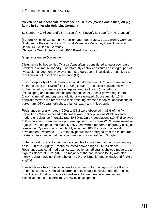#### **Prevalence of insecticide resistance house flies (***Musca domestica***) on pig farms in Schleswig-Holstein, Germany**

S. Steuber<sup>1\*</sup>,J. Hildebrand<sup>2</sup>, S. Reissert<sup>2</sup>, K. Sievert<sup>3</sup>, B. Bauer<sup>2</sup>, P.-H. Clausen<sup>2</sup>

<sup>1</sup>Federal Office of Consumer Protection and Food Safety, 10117 Berlin, Germany <sup>2</sup>Institute for Parasitology and Tropical Veterinary Medicine, Freie Universität Berlin, 14163 Berlin, Germany  ${}^{3}$ Syngenta Crop Protection AG, 4058 Basel, Switzerland

\*stephan.steuber@online.de

Disturbance by house flies (*Musca domestica*) is considered a major economic problem in animal husbandry. Therefore, fly control constitutes an integral part of livestock management. However, non-strategic use of insecticides might lead to rapid buildup of insecticide resistance (IR).

The susceptibility of *M. domestica* against deltamethrin (DTM) was assessed on 40 farms using the FlyBox $^{\circledast}$ -test (280mg DTM/m<sup>2</sup>). The field populations were further tested by a feeding assay against neonicotinoids (thiamethoxam, imidacloprid) and azamethiphos (phosphoric ester). Insect growth regulators (cyromazine, triflumuron) were additionally evaluated. Subsequently, 17 fly populations were lab-reared and their offspring exposed to topical applications of pyrethrum, DTM, azamethiphos, thiamethoxam and imidacloprid.

Resistance (mortality rates  $\leq$  90%) to DTM were observed in 85% of the fly populations. When exposed to thiamethoxam, 13 populations (33%) revealed moderate resistance (mortality rate 40-89%). Only 4 populations (10 %) displayed 100 % paralysis when imidacloprid was applied. Ten strains (25%) were sensitive against azamethiphos, the majority (75%) showing a moderate degree (≤ 90%) of resistance. Cyromazine proved highly effective (100 % inhibition of larval development), whereas 30 % of the fly populations emerged from the triflumuron treated culture medium at the recommended concentration of 5 mg/kg.

In the laboratory only 1 strain was susceptible to pyrethrum at the discriminating dose (DD) of 2.2 µg/fly. Six strains tested showed high DTM resistance. Resistance was confirmed against azamethiphos, 15 strains showed moderate to high resistance at 0.32µg/fly. The majority of the populations (59%) was also highly resistant against thiamethoxam (DD of 0.32µg/fly) and imidacloprid (41% at 2µg/fly).

Insecticide use has to be considered as last resort for managing house flies or other insect pests. Potential occurrence of IR should be evaluated before using insecticides. Rotation of active ingredients, frequent manure removal and biological means of control may delay IR development.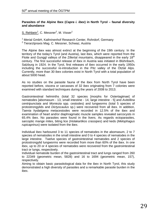#### **Parasites of the Alpine Ibex (***Capra i. ibex***) in North Tyrol – faunal diversity and abundance**

S. Rehbein<sup>1</sup>, C. Messner<sup>2</sup>, M. Visser<sup>1</sup>

<sup>1</sup> Merial GmbH, Kathrinenhof Research Center, Rohrdorf, Germany

<sup>2</sup> Tierarztpraxis Mag. C. Messner, Schwaz, Austria

The Alpine ibex was almost extinct at the beginning of the 19th century. In the territory of the today's Tyrol (and Austria), last ibex, which were reported from the Floite and Gunggl valleys of the Zillertal mountains, disappeared in the early  $18<sup>th</sup>$ century. The first successful release of ibex in Austria was initiated in Blühnbach, Salzburg in 1924. In the Tyrol, first releases of ibex occurred in the early 1950s including the successful re-introduction in the Pitz valley of the Ötztal Alps. Currently, more than 30 ibex colonies exist in North Tyrol with a total population of about 5000 head.

As no studies on the parasite fauna of the ibex from North Tyrol have been reported before, viscera or carcasses of 32 ibex originating from 7 colonies were examined with standard techniques during the years of 2008 to 2013.

Gastrointestinal helminths (total 32 species [morphs for Ostertagiinae] of nematodes [abomasum - 13, small intestine - 14, large intestine - 5] and *Avitellina centripunctata* and *Moniezia* spp. cestodes) and lungworms (total 5 species of protostrongylids and *Dictyocaulus* sp.) were recovered from all ibex. In addition, *Taenia hydatigena* metacestodes were recorded in 12.5% of the ibex and examination of heart and/or diaphragmatic muscle samples revealed sarcocysts in 65.4% ibex. No parasites were found in the livers. As regards ectoparasites, sarcoptic mange mites, biting lice (*Holakartikos crassipes*) and keds (*Melophagus rupicaprinus*) were isolated from the ibex.

Individual ibex harboured 3 to 11 species of nematodes in the abomasum, 2 to 7 species of nematodes in the small intestine and 0 to 4 species of nematodes in the large intestine. Twelve species of gastrointestinal nematodes and 2 species of protostrongylid lungworms were recorded from more than 60% of the ibex. In one ibex, up to 20 or 4 species of nematodes were recovered from the gastrointestinal tract or lungs, respectively.

Individual nematode burden of the gastrointestinal tract and lungs ranged from 260 to 22349 (geometric mean, 5828) and 16 to 1694 (geometric mean, 157), respectively.

Aiming to obtain basic parasitological data for the ibex in North Tyrol, this study demonstrated a high diversity of parasites and a remarkable parasite burden in the ibex.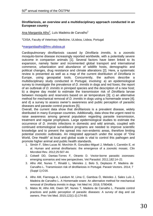#### **Dirofilariosis, an overview and a multidisciplinary approach conducted in an European country**

<u>Ana Margarida Alho<sup>1</sup>,</u> Luís Madeira de Carvalho<sup>1</sup>

<sup>1</sup>CIISA, Faculty of Veterinary Medicine, ULisboa, Lisboa, Portugal

[\\*margaridaalho@fmv.ulisboa.pt](mailto:margaridaalho@fmv.ulisboa.pt)

Cardiopulmonary dirofilariosis caused *by Dirofilaria immitis*, is a zoonotic mosquito-borne disease increasingly reported worldwide, with a potentially severe outcome in companion animals [1]. Several factors have been linked to its expansion, namely faster and incremented global transport and international commerce, urbanization and abundance of wildlife hosts, demographic and political changes, drug resistance and climate alterations [2]. Here, a systematic review is presented as well as a map of the current distribution of *Dirofilaria* in Europe, using geospatial tools. Concurrently, the authors describe a multidisciplinary study conducted in Portugal, involving: a) an epidemiological survey to investigate the prevalence of *D. immitis* in dogs and red foxes; the report of an outbreak of *D. immitis* in pinniped species and the description of a new host; b) a degree day model to estimate the transmission risk of *Dirofilaria* larvae between mosquito and reservoirs based on air temperature [3]; c) an alternative method for mechanical removal of *D. immitis* in dogs using a homemade snare [4]; and d) a survey to assess owner's awareness and public perception of parasitic diseases and parasite control practices [5].

Overall, the current data show that dirofilariosis is a prevalent disease, widely distributed in many European countries. Additionally, data show the urgent need to raise awareness among general population regarding parasite transmission, treatment and regular prophylaxis. Large epidemiological studies to estimate the occurrence of *D. immitis* infections in domestic and wild animals, coupled with continued entomological surveillance programs are needed to improve scientific knowledge and to prevent the spread into non-endemic areas, therefore limiting potential zoonotic outbreaks. An integrated approach under the scope of "One World, One Health" at local and global scale is vital to control this pathogen and promote higher animal and public health standards.

- 1. [Simón F,](http://www.ncbi.nlm.nih.gov/pubmed/?term=Sim%C3%B3n%20F%5BAuthor%5D&cauthor=true&cauthor_uid=22763636) [Siles-Lucas M,](http://www.ncbi.nlm.nih.gov/pubmed/?term=Siles-Lucas%20M%5BAuthor%5D&cauthor=true&cauthor_uid=22763636) [Morchón R,](http://www.ncbi.nlm.nih.gov/pubmed/?term=Morch%C3%B3n%20R%5BAuthor%5D&cauthor=true&cauthor_uid=22763636) [González-Miguel J,](http://www.ncbi.nlm.nih.gov/pubmed/?term=Gonz%C3%A1lez-Miguel%20J%5BAuthor%5D&cauthor=true&cauthor_uid=22763636) [Mellado I,](http://www.ncbi.nlm.nih.gov/pubmed/?term=Mellado%20I%5BAuthor%5D&cauthor=true&cauthor_uid=22763636) [Carretón E,](http://www.ncbi.nlm.nih.gov/pubmed/?term=Carret%C3%B3n%20E%5BAuthor%5D&cauthor=true&cauthor_uid=22763636) et al. Human and animal dirofilariasis: the emergence of a zoonotic mosaic. Clin Microbiol Rev. 2012;25:507-44.
- 2. Colwell DD, Dantas-Torres F, Otranto D. Vector-borne parasitic zoonoses: emerging scenarios and new perspectives. Vet Parasitol. 2011;182:14–21
- 3. Alho AM, Nunes T, Rinaldi L, Meireles J, Belo S, Deplazes P, Madeira de Carvalho L. Transmission risk of dirofilariosis in Portugal. Parasit Vectors. 2014; 7 (Suppl 1):O16.
- 4. [Alho AM,](https://www.ncbi.nlm.nih.gov/pubmed/?term=Alho%20AM%5BAuthor%5D&cauthor=true&cauthor_uid=26981316) [Fiarresga A,](https://www.ncbi.nlm.nih.gov/pubmed/?term=Fiarresga%20A%5BAuthor%5D&cauthor=true&cauthor_uid=26981316) [Landum M,](https://www.ncbi.nlm.nih.gov/pubmed/?term=Landum%20M%5BAuthor%5D&cauthor=true&cauthor_uid=26981316) [Lima C,](https://www.ncbi.nlm.nih.gov/pubmed/?term=Lima%20C%5BAuthor%5D&cauthor=true&cauthor_uid=26981316) [Gamboa Ó,](https://www.ncbi.nlm.nih.gov/pubmed/?term=Gamboa%20%C3%93%5BAuthor%5D&cauthor=true&cauthor_uid=26981316) [Meireles J,](https://www.ncbi.nlm.nih.gov/pubmed/?term=Meireles%20J%5BAuthor%5D&cauthor=true&cauthor_uid=26981316) [Sales Luís J,](https://www.ncbi.nlm.nih.gov/pubmed/?term=Sales%20Lu%C3%ADs%20J%5BAuthor%5D&cauthor=true&cauthor_uid=26981316) [Madeira de Carvalho L.](https://www.ncbi.nlm.nih.gov/pubmed/?term=Madeira%20de%20Carvalho%20L%5BAuthor%5D&cauthor=true&cauthor_uid=26981316) A Homemade snare: An alternative method for mechanical removal of *Dirofilaria immitis* in dogs. Vet Med Int. 2016; 5780408.
- 5. Matos M, Alho AM, Owen SP, Nunes T, Madeira de Carvalho L. [Parasite](https://www.ncbi.nlm.nih.gov/pubmed/26404913) control [practices and public perception of parasitic diseases: A survey](https://www.ncbi.nlm.nih.gov/pubmed/26404913) of dog and cat [owners.](https://www.ncbi.nlm.nih.gov/pubmed/26404913) Prev Vet Med. 2015;122(1-2):174-80.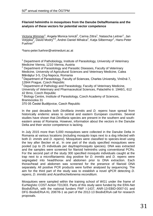#### **Filarioid helminths in mosquitoes from the Danube Delta/Romania and the analysis of these vectors for potential vector competence**

Victoria Wimmer<sup>1</sup>, Angela Monica Ionică<sup>2</sup>, Carina Zittra<sup>1</sup>, Natascha Leitner<sup>1</sup>, Jan Votýpka<sup>3</sup>, David Modry<sup>4,5</sup>, Andrei Daniel Mihalca<sup>2</sup>, Katja Silbermayr<sup>1</sup>, Hans-Peter Fuehrer<sup>1</sup>

\*hans-peter.fuehrer@vetmeduni.ac.at

<sup>1</sup> Department of Pathobiology, Institute of Parasitology, University of Veterinary Medicine Vienna, 1210 Vienna, Austria

 $2$  Department of Parasitology and Parasitic Diseases, Faculty of Veterinary Medicine, University of Agricultural Sciences and Veterinary Medicine, Calea Mănăştur 3-5, Cluj-Napoca, Romania

<sup>3</sup> Department of Parasitology, Faculty of Sciences, Charles University, Viničná 7, 12844 Prague, Czech Republic<br><sup>4</sup> Department of Pathology and Parasitology, Faculty of Veterinary Medicine,

University of Veterinary and Pharmaceutical Sciences, Palackého tr. 1946/1, 612 42 Brno, Czech Republic

<sup>5</sup> Biology Centre, Institute of Parasitology, Czech Academy of Sciences, Branisovska 31

370 05 České Budějovice, Czech Republic

In the past decades both *Dirofilaria immitis* and *D. repens* have spread from historically endemic areas to central and eastern European countries. Several studies have shown that *Dirofilaria* species are present in the southern and southeastern areas of Romania. However, information about the vectors in the Danube Delta and their vector competence is lacking.

In July 2015 more than 5,000 mosquitoes were collected in the Danube Delta in Romania at various locations (including mosquito traps next to a dog infected with both *D. immits* and *D. repens*). Mosquitoes were classified to species-level using the key after Becker et al.. In one part of the study specified mosquitoes were pooled (up to 25 individuals per day/trap/mosquito species). DNA was extracted and the samples were screened for filarioid helminths using conventional PCRs. For the second part of the study 300 specified mosquito individuals caught at the trap next to a microfilariaemic dog positive for *D. immitis* and *D. repens* were segregated into head/thorax and abdomen prior to DNA extraction. Each thorax/head and abdomen was screened for the presence of filarioid DNA separately. All positive PCR products were further analysed by sequencing. The aim for the third part of the study was to establish a novel qPCR detecting *D. repens*, *D. immitis* and *Acanthocheilonema reconditum*.

Mosquitoes were sampled within the training school of WG1 under the frame of EurNegVec COST Action TD1303. Parts of this study were funded by the ERA-Net BiodivERsA, with the national funders FWF I-1437, ANR-13-EBID-0007-01 and DFG BiodivERsA KL 2087/6-1 as part of the 2012-13 BiodivERsA call for research proposals.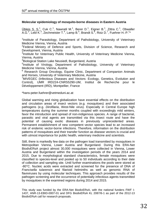#### **Molecular epidemiology of mosquito-borne diseases in Eastern Austria**

 $\dot{\text{U}}$ bleis S. S.<sup>1</sup>, Cuk C.<sup>1</sup>, Nawratil M.<sup>1</sup>, Berer D.<sup>1</sup>, Eigner B.<sup>1</sup>, Zittra C.<sup>1</sup>, Obwaller A.G.<sup>2</sup>, Lebl K.<sup>3</sup>, Zechmeister T.<sup>4</sup>, Lamp B.<sup>5</sup>, Brandt S.<sup>6</sup>, Roiz D.<sup>7</sup>, Fuehrer H.-P.<sup>1\*</sup>

<sup>1</sup>Institute of Parasitology, Department of Pathobiology, University of Veterinary Medicine Vienna, Vienna, Austria

<sup>2</sup>Federal Ministry of Defence and Sports, Division of Science, Research and Development, Vienna, Austria

<sup>3</sup>Institute for Veterinary Public Health, University of Veterinary Medicine Vienna, Vienna, Austria

4 Biological Station Lake Neusiedl, Burgenland, Austria

<sup>5</sup>Institute of Virology, Department of Pathobiology, University of Veterinary Medicine Vienna, Vienna, Austria

<sup>6</sup> Research Group Oncology, Equine Clinic, Department of Companion Animals and Horses, University of Veterinary Medicine, Austria

<sup>7</sup>MIVEGEC (Infectious Diseases and Vectors: Ecology, Genetics, Evolution and Control), UMR IRD224-CNRS5290-UM, Institut de Recherche pour le Développement (IRD), Montpellier, France

\*hans-peter.fuehrer@vetmeduni.ac.at

Global warming and rising globalization have essential effects on the distribution and circulation areas of insect vectors (e.g. mosquitoes) and their associated pathogens (e.g. *Dirofilaria*, West-Nile virus). Especially in Central Europe high temperatures during the summer months coupled with exceedingly mild winters, favor the introduction and spread of non-indigenous species. A range of bacterial, parasitic and viral agents are transmitted via this insect route and have the potential of causing exotic diseases in previously unprecedented areas. Permanent establishment of new competent vector species lead to an increased risk of endemic vector-borne infections. Therefore, information on the distribution patterns of mosquitoes and their transfer function as disease vectors is crucial and with utmost importance for public health, veterinary medicine and scientists.

Still, there is markedly few data on the pathogen load transmitted by mosquitoes in Metropolitan Vienna, Lower Austria and Burgenland. During this ERA-Net BiodivERsA project almost 30,000 mosquitoes were collected in Vienna, Lower Austria and Burgenland within the investigation periods of the years 2014 and 2015. Due to morphological standard characteristics, female mosquitoes were classified to species-level and pooled up to 50 individuals according to their date of collection and sampling site. Until further examinations the pools were stored at -80°C. Nucleic acids were extracted and screened for the presence of DNA of *Francisella tularensis* and filarioid helminths as well as genomic RNA of flaviviruses by using molecular techniques. This approach provides results of the pathogen screening and the occurrence of potentially infectious agents transmitted by mosquitoes in the examined regions during 2014 and 2015.

This study was funded by the ERA-Net BiodivERsA, with the national funders FWF I-1437, ANR-13-EBID-0007-01 and DFG BiodivERsA KL 2087/6-1 as part of the 2012-13 BiodivERsA call for research proposals.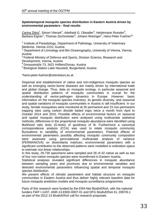#### **Spatiotemporal mosquito species distribution in Eastern Austria driven by environmental parameters - final results**

 $\text{Carina Zittra}^1$ , Simon Vitecek<sup>2</sup>, Adelheid G. Obwaller<sup>3</sup>, Heidemarie Rossiter<sup>4</sup>, Barbara Eigner<sup>1</sup>, Thomas Zechmeister<sup>5</sup>, Johann Waringer<sup>2</sup>, Hans-Peter Fuehrer<sup>1\*</sup>

<sup>1</sup> Institute of Parasitology, Department of Pathology, University of Veterinary Medicine, Vienna 1210, Austria

<sup>2</sup> Department of Limnology and Bio-Oceanography, University of Vienna, Vienna, Austria

<sup>3</sup> Federal Ministry of Defence and Sports, Division Science, Research and Development, Vienna, Austria

<sup>4</sup> Donaustraße 73, 3421 Höflein/Donau, Austria

<sup>5</sup> Biological Station Lake Neusiedl, Burgenland, Austria

\*hans-peter.fuehrer@vetmeduni.ac.at

Dispersal and establishment of native and non-indigenous mosquito species as well as emerging vector-borne diseases are mainly driven by international trade and global change. Thus, data on mosquito ecology, in particular seasonal and spatial distribution patterns of mosquito communities is crucial for the understanding of vector-pathogen dynamics in Europe. However, basic information on the mosquito species inventory, its genetic diversity, and seasonal and spatial variations of mosquito communities in Austria is still insufficient. In our study, female mosquitoes were monitored at 35 permanent and 23 non-permanent trapping sites using carbon dioxide baited traps twice a month from April to October 2014 and 2015. Possible effects of environmental factors on seasonal and spatial mosquito distribution were analysed using multivariate statistical methods; differences in the proportional mosquito abundance were identified using likelihood ratio tests (G-tests) of goodness of fit. Furthermore a canonical correspondence analysis (CCA) was used to relate mosquito community fluctuations to variability of environmental parameters. Potential effects of environmental parameters possibly affecting mosquito community composition were assessed using permutational multivariate analysis of variance (PERMANOVA) on dissimilarity matrices; environmental parameters with a significant contribution to the observed patterns were modelled in ordination space to estimate non-linear relationships.

In this study, 29,735 specimens were sampled and 26 of 42 native as well as two of four non-native mosquito species were reconfirmed in Eastern Austria.

Statistical analyses revealed significant differences in mosquito abundance between sampling years and provinces due to environmental variables and detected environmental parameters influencing spatial and temporal mosquito species distribution.

We present effects of climatic parameters and habitat structure on mosquito communities in Eastern Austria and thus deliver highly relevant baseline data for future mosquito prediction models and mosquito surveillance programmes.

Parts of this research were funded by the ERA-Net BiodivERsA, with the national funders FWF I-1437, ANR-13-EBID-0007-01 and DFG BiodivERsA KL 2087/6-1 as part of the 2012-13 BiodivERsA call for research proposals.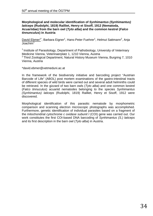#### **Morphological and molecular identification of** *Synhimantus (Synhimantus) laticeps* **(Rudolphi, 1819) Railliet, Henry et Sisoff, 1912 (Nematoda, Acuariidae) from the barn owl (***Tyto alba***) and the common kestrel (***Falco tinnunculus***) in Austria**

David Ebmer<sup>1\*</sup>, Barbara Eigner<sup>1</sup>, Hans-Peter Fuehrer<sup>1</sup>, Helmut Sattmann<sup>2</sup>, Anja Joachim<sup>1</sup>

<sup>1</sup> Institute of Parasitology, Department of Pathobiology, University of Veterinary Medicine Vienna, Veterinaerplatz 1, 1210 Vienna, Austria <sup>2</sup> Third Zoological Department, Natural History Museum Vienna, Burgring 7, 1010 Vienna, Austria

\*david.ebmer@vetmeduni.ac.at

In the framework of the biodiversity initiative and barcoding project "Austrian Barcode of Life" (ABOL) post mortem examinations of the gastro-intestinal tracts of different species of wild birds were carried out and several adult helminths could be retrieved. In the gizzard of two barn owls (*Tyto alba*) and one common kestrel (*Falco tinnuculus*) acuariid nematodes belonging to the species *Synhimantus (Synhimantus) laticeps* (Rudolphi, 1819) Railliet, Henry et Sisoff, 1912 were discovered.

Morphological identification of this parasitic nematode by morphometric comparison and scanning electron microscopic photographs was accomplished. Furthermore, genetic identification of individual parasites based on a fragment of the mitochondrial *cytochrome c oxidase subunit I* (COI) gene was carried out. Our work constitutes the first COI-based DNA barcoding of *Synhimantus (S.) laticeps* and its first description in the barn owl (*Tyto alba*) in Austria.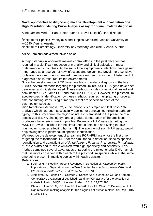#### **Novel approaches to diagnosing malaria. Development and validation of a High Resolution Melting Curve Analysis assay for human malaria diagnosis**

Aline Lamien-Meda<sup>1\*</sup>, Hans-Peter Fuehrer<sup>2</sup>,David Leitsch<sup>1</sup>, Harald Noedl<sup>1</sup>

<sup>1</sup>Institute for Specific Prophylaxis and Tropical Medicine, Medical University of A-1090 Vienna, Austria

<sup>2</sup>Institute of Parasitology, University of Veterinary Medicine, Vienna, Austria

\*Aline.LamienMeda@meduniwien.ac.at

A major step-up in worldwide malaria control efforts in the past decades has resulted in a significant reduction of mortality and clinical episodes in most malaria-endemic countries. At the same time asymptomatic infections have gained importance as a reservoir of new infections and epidemics. Novel, more sensitive tools are therefore urgently needed to replace microscopy as the gold-standard of diagnosis also in resource-limited environments.

Since the development of PCR based methods in malaria diagnosis in the late 1980's, several methods targeting the plasmodium 18S SSU RNA gene have been developed and widely deployed. These methods include conventional nested and semi nested PCR, Lamp PCR and real time PCR [1, 2]. However, the plasmodium species-specific identification by these methods requires multiplexing or several time consuming steps using primer pairs that are specific to each of the plasmodium species.

High Resolution Melting (HRM) curve analysis is a simple and fast post-PCR analysis which has been successfully applied for genotyping, including pathogentyping. In this procedure, the region of interest is amplified in the presence of a specialized dsDNA binding dye and a gradual denaturation of the amplicons produces characteristic melting profiles. Recently, a HRM assay targeting the rSSU RNA was described for the simultaneous detection and typing the five plasmodium species affecting human [3]. The adoption of such HRM assay would help saving time in plasmodium species identification.

We describe the development of a real time PCR-HRM assay for the first time targeting the mitochondrial DNA for the simultaneous detection, species specific identification and quantification of *P. falciparum, P. vivax, P. knowlesi, P. malariae, P. ovale curtisi* and *P. ovale wallikeri*, with high specificity and sensitivity. This method combines several advantages of targeting the mitochondrial DNA, namely that it is more conserved within each of the plasmodium species while at the same time being present in multiple copies within each parasite.

#### **References**

- 1. Fuehrer H-P, Noedl H. Recent Advances in Detection of *Plasmodium ovale*: Implications of Separation into the Two Species *Plasmodium ovale wallikeri* and *Plasmodium ovale curtisi*. JCM, 2014, 52, 387-391.
- 2. Alemayehu S, Feghali KC, Cowden J, Komisar J, Ockenhouse CF, and Kamau E. Comparative evaluation of published real-time PCR assays for the detection of malaria following MIQE guidelines. Malar J, 2013, 12,277-285.
- 3. Chua KH, Lim SC, Ng CC, Lee PC, Lim YAL, Lau TP, Chai HC. Development of high resolution melting analysis for the diagnosis of human malaria. Sci Rep. 2015, 5, 15671-84.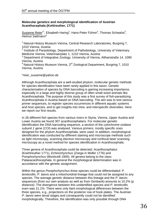#### **Molecular genetics and morphological identification of Austrian Acanthocephala (Kohlreuther, 1771)**

Susanne Reier<sup>1\*</sup>, Elisabeth Haring<sup>1</sup>, Hans-Peter Führer<sup>2</sup>, Thomas Schwaha<sup>3</sup>, Helmut Sattmann<sup>4</sup>

<sup>1</sup> Natural History Museum Vienna, Central Research Laboratories, Burgring 7, 1010 Vienna, Austria

2 Institute of Parasitology, Department of Pathobiology, University of Veterinary Medicine Vienna, Veterinaerplatz 1, 1210 Vienna, Austria

<sup>3</sup> Department of Integrative Zoology, University of Vienna, Althanstraße 14, 1090 Vienna, Austria

4 Natural History Museum Vienna, 3<sup>rd</sup> Zoological Department, Burgring 7, 1010 Vienna, Austria

\*reier\_susanne@yahoo.de

Although Acanthocephala are a well-studied phylum, molecular genetic methods for species identification have been rarely applied in this taxon. Genetic characterisation of species by DNA barcoding is gaining increasing importance, especially in a large and highly diverse group of often small sized animals like Acanthocephala. The purpose of this study was a first survey of fish-parasitizing Acanthocephala in Austria based on DNA barcoding. The aim was to test various primer sequences, to register species occurrences in different aquatic systems and host species, and to get insights into intra- and interspecific diversities. Here we report our first results.

In 26 different fish species from various rivers in Styria, Vienna, Upper Austria and Lower Austria we found 307 acanthocephalans. For molecular genetic identification the DNA barcoding sequence, a section of the *cytochrome oxidase subunit 1* gene (*COI*) was analysed. Various primers, mostly specific ones designed for the phylum Acanthocephala, were used. In addition, morphological identification was conducted by different staining and microscope methods such as light microscopy, scanning electron microscopy and confocal laser scanning microscopy as a novel method for species identification in Acanthocephala.

Three genera of Acanthocephala could be detected: *Acanthocephalus* (Koehlreuther 1771), *Echinorhynchus* (Zoega in Müller 1776) and *Pomphorhynchus* (Monticelli 1905). All genera belong to the class Palaeacanthocephala. In general the morphological determination was in accordance with the genetic assignment.

Within the genus *Pomphorhynchus* three species could be differentiated: *P. tereticollis*, *P. laevis* and a mitochondrial lineage that could not be assigned to any species. The average genetic distance between this lineage and the *P. laevis*sequences (from our own analysis as well as from Genbank) amounts to 10.2% (p distance). The divergence between this unidentified species and *P. tereticollis*  even was 21.1%. There were only faint morphological differences between the three species, e.g., projections on the posterior row of hook plates. The Austrian *P. laevis* were larval stages and consequently could not be identified morphologically. Therefore, the identification was only possible through DNA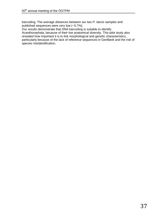barcoding. The average distances between our two *P. laevis* samples and published sequences were very low (~0.7%).

Our results demonstrate that DNA barcoding is suitable to identify Acanthocephala, because of their low anatomical diversity. This pilot study also revealed how important it is to link morphological and genetic characteristics, particularly because of the lack of reference sequences in GenBank and the risk of species misidentification.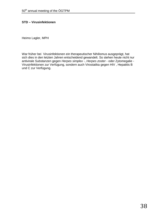#### **STD – Virusinfektionen**

Heimo Lagler, MPH

War früher bei Virusinfektionen ein therapeutischer Nihilismus ausgeprägt, hat sich dies in den letzten Jahren entscheidend gewandelt. So stehen heute nicht nur antivirale Substanzen gegen *Herpes simplex* -, *Herpes zoster* - oder Zytomegalie - Virusinfektionen zur Verfügung, sondern auch Virostatika gegen HIV , Hepatitis B und C zur Verfügung.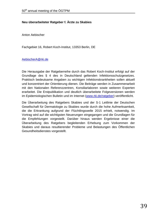#### **Neu überarbeiteter Ratgeber f. Ärzte zu Skabies**

Anton Aebischer

Fachgebiet 16, Robert Koch-Institut, 13353 Berlin, DE

#### [AebischerA@rki.de](mailto:AebischerA@rki.de)

Die Herausgabe der Ratgeberreihe durch das Robert Koch-Institut erfolgt auf der Grundlage des § 4 des in Deutschland geltenden Infektionsschutzgesetzes. Praktisch bedeutsame Angaben zu wichtigen Infektionskrankheiten sollen aktuell und konzentriert der Orientierung dienen. Die Beiträge werden in Zusammenarbeit mit den Nationalen Referenzzentren, Konsiliarlaboren sowie weiteren Experten erarbeitet. Die Erstpublikation und deutlich überarbeitete Folgeversionen werden im Epidemiologischen Bulletin und im Internet [\(www.rki.de/ratgeber\)](http://www.rki.de/DE/Content/Infekt/EpidBull/Merkblaetter/merkblaetter_node.html) veröffentlicht.

Die Überarbeitung des Ratgebers Skabies und der S-1 Leitlinie der Deutschen Gesellschaft für Dermatologie zu Skabies wurde durch die hohe Aufmerksamkeit, die die Erkrankung aufgrund der Flüchtlingswelle 2015 erhielt, notwendig. Im Vortrag wird auf die wichtigsten Neuerungen eingegangen und die Grundlagen für die Empfehlungen vorgestellt. Darüber hinaus werden Ergebnisse einer die Überarbeitung des Ratgebers begleitenden Erhebung zum Vorkommen der Skabies und daraus resultierender Probleme und Belastungen des Öffentlichen Gesundheitsdienstes vorgestellt.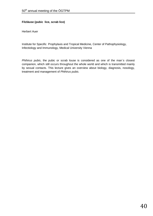#### **Filzläuse (pubic lice, scrab lice)**

Herbert Auer

Institute for Specific Prophylaxis and Tropical Medicine, Center of Pathophysiology, Infectiology and Immunology, Medical University Vienna

*Phthirus pubis*, the pubic or scrab louse is considered as one of the man`s closest companion, which still occurs throughout the whole world and which is transmitted mainly by sexual contacts. This lecture gives an overview about biology, diagnosis, nosology, treatment and management of *Phthirus pubis*.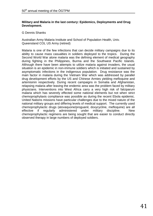#### **Military and Malaria in the last century: Epidemics, Deployments and Drug Development.**

#### G Dennis Shanks

Australian Army Malaria Institute and School of Population Health, Univ. Queensland COL US Army (retired)

Malaria is one of the few infections that can decide military campaigns due to its ability to cause mass casualties in soldiers deployed to the tropics. During the Second World War alone malaria was the defining element of medical geography during fighting in the Philippines, Burma and the Southwest Pacific Islands. Although there have been attempts to utilize malaria against invaders, the usual situation is an epidemic in non-immune soldiers which is initiated and sustained by asymptomatic infections in the indigenous population. Drug resistance was the main factor in malaria during the Vietnam War which was addressed by parallel drug development efforts by the US and Chinese Armies yielding mefloquine and artemisinin respectively. During recent campaigns in Somalia and Afghanistan, relapsing malaria after leaving the endemic area was the problem faced by military physicians. Interventions into West Africa carry a very high risk of falciparum malaria which has severely effected some national elements but not when strict chemoprophylaxis compliance was possible as during the recent Ebola epidemic. United Nations missions have particular challenges due to the mixed nature of the national military groups and differing levels of medical support. The currently used chemoprophylactic drugs (atovaquone/proguanil, doxycycline, mefloquine) are all effective if regularly administered under military discipline. New chemoprophylactic regimens are being sought that are easier to conduct directly observed therapy in large numbers of deployed soldiers.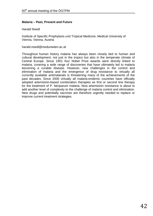#### **Malaria – Past, Present and Future**

#### Harald Noedl

Institute of Specific Prophylaxis und Tropical Medicine, Medical University of Vienna, Vienna, Austria

harald.noedl@meduniwien.ac.at

Throughout human history malaria has always been closely tied to human and cultural development, not just in the tropics but also in the temperate climate of Central Europe. Since 1901 four Nobel Prize awards were directly linked to malaria, covering a wide range of discoveries that have ultimately led to malaria becoming a curable disease. However, new challenges in the control and elimination of malaria and the emergence of drug resistance to virtually all currently available antimalarials is threatening many of the achievements of the past decades. Since 2000 virtually all malaria-endemic countries have officially adopted artemisinin-based combination therapies as first or second line therapy for the treatment of P. falciparum malaria. Now artemisinin resistance is about to add another level of complexity to the challenge of malaria control and elimination. New drugs and potentially vaccines are therefore urgently needed to replace or improve current treatment strategies.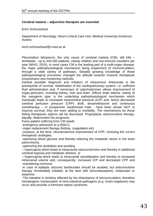#### **Cerebral malaria – adjunctive therapies are essential**

Erich Schmutzhard

Department of Neurology, Neuro-Critical Care Unit, Medical University Innsbruck, Austria

erich.schmutzhard@i-med.ac.at

*Plasmodium falciparum*, the only cause of cerebral malaria (CM), still kills – worldwide - up to 440.000 patients, mainly children and non-immune travellers per year (WHO, 2015). In most cases CM is the leading part of a multi-organ disease, the major pathophysiological mechanism being impairment of microcirculation, through a wide variety of pathways. Steadily growing knowledge of these pathopysiological processes changed the attitude towards invasive therapeutic invasiveness and monitoring methods.

Earliest possible diagnosis and initiation of intravenous Artesunate is the prerequisite of survival. Stabilisation of the cardiopulmonary system, i.e. sufficient fluid administration and, if necessary of catecholamines allows improvement of organ-perfusion, including kidney, liver and brain. Diffuse brain edema, mainly of the vasogenic type, is the underlying pathophysiological mechanism which eventually leads to increased intracerebral pressure (ICP) and, hence decreased cerebral perfusion pressure (CPP). Both, dexamethasone and continuous osmotherapy – in prospective randomized trials - have been shown NOT to improve survival, they are even adding to morbidity. The mechanisms for these failing therapeutic options will be discussed. Prophylactic anticonvulsive therapy, equally, deteriorates the prognosis.

Every patient suffering from CM needs

-emergency admission to a (N)ICU,

-organ replacement therapy (kidney, coagulation etc)

-cautious, at the best, neuroprotective improvement of CPP, choosing the correct therapeutic strategies,

-optimizing blood glucose and thereby relieving the metabolic stress in the brain parenchyma,

-optimizing the ventilation and avoiding

---hypocapnia which leads to intracranial vasoconstriction and thereby to additional cerebral hypoxia and metabolic distress or

---hypercapnia which leads to intracranial vasodilatation and thereby to increased intracranial volume and, consequently, increased ICP and decreased CPP and -maintaining normoxia

-in case of epileptic seizures barbiturates should be avoided, but anticonvulsive therapy immediately initiated, at the best with benzodiazepines, midazolam or ketamine.

-The intestine is similarly affected by the disturbance of microcirculation; therefore hematogenic translocation of intra-intestinal pathogens (e.g. Gram-negatives) may occur and provoke a fulminant sepsis syndrome.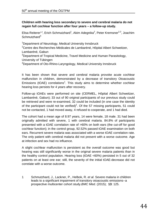#### **Children with hearing loss secondary to severe and cerebral malaria do not regain full cochlear function after four years – a follow-up study.**

Elisa Reiterer<sup>1,4</sup>, Erich Schmutzhard<sup>1</sup>, Akim Adegnika<sup>2</sup>, Peter Kremsner<sup>2,3</sup>, Joachim  $Schmutzhard<sup>4</sup>$ 

<sup>1</sup>Department of Neurology, Medical University Innsbruck

<sup>2</sup>Centre des Recherches Médicales de Lambaréné, Hôpital Albert Schweitzer, Lambaréné, Gabun

<sup>3</sup>Department of Tropical Medicine, Travel Medicine and Human Parasitology,

University of Tübingen

4 Department of Oto-Rhino-Laryngology, Medical University Innsbruck

It has been shown that severe and cerebral malaria provoke acute cochlear malfunction in children, demonstrated by a decrease of transitory Otoacoustic Emissions (tOAE) correlations<sup>1</sup>. This study aims to determine whether cochlear hearing loss persists for 4 years after recovery.

Follow-up tOAEs were performed on site (CERMEL, Hôpital Albert Schweitzer, Lambaréné, Gabun); 33 out of 90 original participants of our previous study could be retrieved and were re-examined, 32 could be included (in one case the identity of the participant could not be verified)<sup>1</sup>. Of the 57 missing participants, 51 could not be contacted, 1 had moved away, 4 refused to cooperate, and 1 had died.

The cohort had a mean age of 8.97 years, 14 were female, 18 male. 31 had been originally admitted with severe, 1 with cerebral malaria. 84.8% of participants presented with a tOAE correlation rate of >60% on both ears (the cut-off for good cochlear function); in the control group, 92.52% passed tOAE examination on both ears. Recurrent severe malaria was associated with a worse tOAE correlation rate. The only patient with cerebral malaria did not present with a worse outcome. Age at infection and sex had no influence.

A slight cochlear malfunction is persistent as the overall outcome was good but hearing was still significantly worse in the original severe malaria patients than in the healthy control population. Hearing loss (tOAE <60%) persisted in 5 out of 32 patients on at least one ear; still, the severity of the initial tOAE-decrease did not correlate with a worse outcome.

1 Schmutzhard, J., Lackner, P., Helbok, R. *et al.* Severe malaria in children leads to a significant impairment of transitory otoacoustic emissions--a prospective multicenter cohort study.*BMC Med*. (2015); **13**: 125.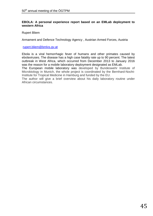#### **EBOLA: A personal experience report based on an EMLab deployment to western Africa**

Rupert Bliem

Armament and Defence Technology Agency , Austrian Armed Forces, Austria

[rupert.bliem@bmlvs.gv.at](mailto:rupert.bliem@bmlvs.gv.at)

Ebola is a viral hemorrhagic fever of humans and other primates caused by ebolaviruses. The disease has a high case fatality rate up to 90 percent. The latest outbreak in West Africa, which occurred from December 2013 to January 2016 was the reason for a mobile laboratory deployment designated as EMLab.

The European mobile laboratory was developed by Bundeswehr Institute of Microbiology in Munich, the whole project is coordinated by the Bernhard-Nocht-Institute for Tropical Medicine in Hamburg and funded by the EU.

The author will give a brief overview about his daily laboratory routine under African circumstances.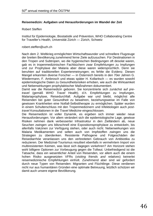#### **Reisemedizin: Aufgaben und Herausforderungen im Wandel der Zeit**

#### Robert Steffen

Institut für Epidemiologie, Biostatistik und Prävention, WHO Collaborating Centre for Traveller's Health, Universität Zürich — Zürich, Schweiz

#### robert.steffen@uzh.ch

Nach dem 2. Weltkrieg ermöglichten Wirtschaftswunder und schnellere Flugzeuge der breiten Bevölkerung zunehmend ferne Ziele aufzusuchen. Für Destinationen in den Tropen und Subtropen, wo die hygienischen Bedingungen oft desolat waren, gab es in tropenmedizinischen Fachbüchern zwar Empfehlungen zu Impfungen und zur Prophylaxe der Malaria aber diese waren widersprüchlich. Denn sie beruhten auf traditionellen Expertenmeinungen; es fehlte die Evidenz. Diesen Mangel erkannten diverse Forscher — in Österreich bereits in den 70er Jahren G. Wiedermann, F. Ambrosch und etwas später H. Kollaritsch — es wurden sowohl epidemiologische Daten zu Gesundheitsrisiken erhoben, wie auch die Wirksamkeit und Nebenwirkungen prophylaktischer Maßnahmen dokumentiert.

Damit war die Reisemedizin geboren. Sie konzentrierte sich zunächst auf *pretravel* (gemäß WHO *Travel Health)*, d.h. Empfehlungen zu Impfungen, Malariaprophylaxe, Reisedurchfall. Aufgabe war und bleibt, möglichst alle Reisenden bei guter Gesundheit zu bewahren, beziehungsweise im Falle von gewissen Krankheiten eine Notfall-Selbsttherapie zu ermöglichen. Später wurden in einem Schulterschluss mit den Tropenmedizinern und Infektiologen auch *posttravel* Konsultationen in die *Travel Medicine* eingeschlossen.

Die Reisemedizin ist voller Dynamik, es ergeben sich immer wieder neue Herausforderungen. Vor allem verändert sich die epidemiologische Lage, gewisse Risiken nehmen dank verbesserter Infrastruktur in den Zielländern ab, neue Seuchen zwingen uns blitzschnell eine Expositionsprophylaxe zu entwickeln, bis allenfalls Vakzinen zur Verfügung stehen, oder auch nicht. Nebenwirkungen von Malaria Medikamenten und selten auch von Impfstoffen zwingen uns die Strategien zu überdenken. Resistente Pathogene und Folgeschäden der Reisediarrhöe veranlassen uns den verbreiteten Gebrauch von Antibiotika zu reduzieren. Der Medizinal-Tourismus resultiert ebenfalls in vermehrtem Import von multiresistenten Keimen, was lässt sich dagegen vorkehren? Am Horizont stehen wohl billigere Optionen zur Vorbeugung gegen die Tollwut. Unbefriedigend ist die Tatsache, dass ein wesentlicher Anteil von Reisenden, vor allem auch die einem hohen Risiko ausgesetzten VFRs (*visiting friends and relatives*) keinerlei reisemedizinische Empfehlungen einholt. Zunehmend aber sind wir gefordert durch neue Typen von Reisenden: Migranten und Flüchtlinge. Diese verdienen nicht nur aus humanitären Gründen eine optimale Betreuung, letztlich schützen wir damit auch unsere eigene Bevölkerung.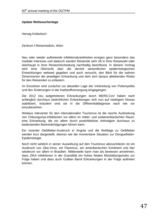#### **Update Weltseuchenlage**

Herwig Kollaritsch

Zentrum f.Reisemedizin, Wien

Neu oder wieder auftretende Infektionskrankheiten erregen ganz besonders das mediale Interesse und dadurch werden Reisende sehr oft in ihrer Reisewahl oder überhaupt in ihrer Reiseentscheidung nachhaltig beeinflusst. In diesem Vortrag wird eine Übersicht über die derzeit wesentlichen epidemiologischen Entwicklungen weltweit gegeben und auch versucht, den Blick für die wahren Dimensionen der jeweiligen Erkrankung und dem sich daraus ableitenden Risiko für den Reisenden zu erläutern.

Im Einzelnen wird zunächst zur aktuellen Lage der Verbreitung von Poliomyelitis und den Änderungen in der Impfstoffversorgung eingegangen.

Die 2012 neu aufgetretenen Erkrankungen durch MERS-CoV haben nach anfänglich durchaus bedrohlichen Entwicklungen sich nun auf niedrigem Niveau stabilisiert, trotzdem sind sie in die Differentialdiagnose nach wie vor einzubeziehen.

Weitaus relevanter für den internationalen Tourismus ist die rasche Ausbreitung von Chikungunya-Infektionen vor allem im mittel- und südamerikanischen Raum, eine Erkrankung, die vor allem durch postinfektiöse Arthralgien durchaus zu bedeutenden Beeinträchtigungen führen kann.

Ein rezenter Gelbfieber-Ausbruch in Angola und die Weltlage zu Gelbfieber werden kurz dargestellt, ebenso wie die momentane Situation zur Denguefieber-Epidemiologie.

Noch nicht wirklich in seiner Auswirkung auf den Tourismus abzuschätzen ist ein Ausbruch von Zika-Virus, ein Flavivirus, am amerikanischen Kontinent und hier wiederum vor allem in Brasilien. Mittlerweile kann man als bewiesen annehmen, dass ZIKA Infektionen in der Gravidität ein hohes fetales Missbildungsrisiko zur Folge haben und dass auch Guillain Barré Erkrankungen in der Folge auftreten können.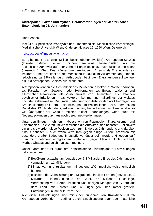#### **Arthropoden: Fakten und Mythen. Herausforderungen der Medizinischen Entomologie im 21. Jahrhundert**

Horst Aspöck

Institut für Spezifische Prophylaxe und Tropenmedizin, Medizinische Parasitologie, Medizinische Universität Wien, Kinderspitalgasse 15, 1090 Wien, Österreich

[horst.aspoeck@meduniwien.ac.at](mailto:horst.aspoeck@meduniwien.ac.at)

Es gibt mehr als eine Million beschriebener (valider) Arthropoden-Spezies (Insekten, Milben, Zecken, Spinnen, Skorpione, Tausendfüßer u.a.), die tatsächliche Zahl wird auf über zehn Millionen geschätzt, vermutlich ist sie sogar (wesentlich) höher. Zwar können mehrere tausend Arten – als Erreger oder als Vektoren – mit Krankheiten des Menschen in kausalem Zusammenhang stehen, jedoch sind ca. 99% aller durch Arthropoden bedingten Erkrankungen auf weniger als 300 Arthropoden-Spezies zurückzuführen.

Arthropoden können die Gesundheit des Menschen in vielfacher Weise bedrohen, als Parasiten von Geweben oder Hohlorganen, als Erreger toxischer und allergischer Reaktionen, als Zwischenwirte von Helminthen, als Ursachen psychischer Irritationen – als Vektoren kommt ihnen allerdings der weitaus höchste Stellenwert zu. Die große Bedeutung von Arthropoden als Überträger von Krankheitserregern ist erst erstaunlich spät, im Wesentlichen erst ab dem letzten Drittel des 19. Jahrhunderts, erkannt worden, heute kennen wir Erreger ebenso wie Überträger der weitaus meisten dieser Erkrankungen, wenn auch mit Neuentdeckungen durchaus noch gerechnet werden muss.

Unter den Erregern nehmen – abgesehen von Plasmodien, Trypanosomen und Leishmanien – die Viren, im Wesentlichen die Arboviren, den höchsten Stellenwert ein und sie werden diese Position auch zum Ende des Jahrhunderts und darüber hinaus behalten – auch wenn vermutlich gegen einige weitere Arboviren mit besonders großer Bedeutung Impfstoffe verfügbar sein werden. Hingegen darf man mit zunehmend erfolgreichen Strategien gegen Malaria, Schlafkrankheit, Morbus Chagas und Leishmaniosen rechnen.

Unser Jahrhundert ist durch drei entscheidende unvermeidbare Entwicklungen gekennzeichnet:

- (1) Bevölkerungswachstum (derzeit über 7,4 Milliarden, Ende des Jahrhunderts vermutlich um 11 Milliarden);
- (2) Klimaerwärmung (global um mindestens 2°C, möglicherweise erheblich höher);
- (3) eskalierende Globalisierung und Migrationen in allen Formen (derzeit z.B. 1 Milliarde Reisende/Touristen pro Jahr, 65 Millionen Flüchtlinge, Verfrachtung von Tieren, Pflanzen und riesigen Mengen von Gütern auf dem Land, mit Schiffen und in Flugzeugen über immer größere Entfernungen in immer kürzerer Zeit).

Alle diese Entwicklungen sind mit einer Zunahme von Krankheiten durch Arthropoden verbunden – bedingt durch Einschleppung oder auch natürliche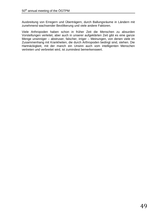Ausbreitung von Erregern und Überträgern, durch Ballungsräume in Ländern mit zunehmend wachsender Bevölkerung und viele andere Faktoren.

Viele Arthropoden haben schon in früher Zeit die Menschen zu absurden Vorstellungen verleitet, aber auch in unserer aufgeklärten Zeit gibt es eine ganze Menge unsinniger – abstruser, falscher, irriger – Meinungen, von denen viele im Zusammenhang mit Krankheiten, die durch Arthropoden bedingt sind, stehen. Die Hartnäckigkeit, mit der manch ein Unsinn auch vom intelligenten Menschen vertreten und verbreitet wird, ist zumindest bemerkenswert.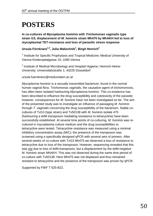### **POSTERS**

**In co-cultures of** *Mycoplasma hominis* **with** *Trichomonas vaginalis* **type strain G3, displacement of** *M. hominis* **strain Mh475 by MhAKH led to loss of mycoplasmal TET-resistance and loss of parasitic stress response**

#### **Ursula Fürnkranz1,2, Julia Walochnik1 , Birgit Henrich2**

<sup>1</sup> Institute for Specific Prophylaxis and Tropical Medicine; Medical University of Vienna Kinderspitalgasse 15; 1090 Vienna

<sup>2</sup> Institute of Medical Microbiology and Hospital Hygiene; Heinrich-Heine-University; Universitätsstraße 1; 40225 Düsseldorf

ursula.fuernkranz@meduniwien.ac.at

*Mycoplasma hominis* is a sexually transmitted bacterium, found in the normal human vaginal flora. *Trichomonas vaginalis*, the causative agent of trichomonosis, has often been isolated harbouring *Mycoplasma hominis*. This co-existence has been described to influence the drug susceptibility and cytotoxicity of the parasite; however, consequences for *M. hominis* have not been investigated so far. The aim of the presented study was to investigate an influence of passaging *M. hominis* through *T. vaginalis* concerning the drug susceptibility of the bacterium. Stable cocultures of TvG3 (type strain) and Tv50138 with *M. hominis* isolate 475 (harbouring a *tet*M transposon mediating resistance to tetracycline) have been successfully established. At several time points of co-culturing, *M. hominis* was recultured in mycoplasma culture medium and the drug susceptibilities to tetracycline were tested. Tetracycline resistance was measured using a minimal inhibitory concentration assay (MIC); the presence of the transposon was screened using a specifically designed qPCR with several sets of primers. After several weeks of co-culture with TvG3 Mh475 we observed a loss of resistance to tetracycline due to loss of the transposon. However, sequencing revealed that this was not due to loss of *tet*M-transposon, but a displacement by the *tet*M-negative *M. hominis* strain MhAKH. This was not observed during the same time period of co-culture with Tv50138. Here Mh475 was not displaced and thus remained resistant to tetracycline and the presence of the transposon was proven by qPCR.

Supported by FWF T 625-B22.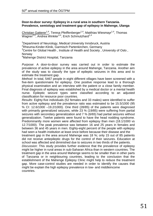#### **Door-to-door survey: Epilepsy in a rural area in southern Tanzania. Prevalence, semiology and treatment gap of epilepsy in Mahenge, Ulanga**

Christian Gatterer<sup>1,4</sup>, Teresa Pfeiffenberger<sup>1,4</sup>, Matthias Wiesmayr<sup>1,4</sup>, Thomas Wagner<sup>2,4</sup>, Andrea Winkler<sup>3,4</sup>, Erich Schmutzhard<sup>1,4</sup>

<sup>1</sup>Department of Neurology, Medical University Innsbruck, Austria

<sup>2</sup>Rheuma-Kinder-Klinik, Garmisch Partenkirchen, Germany

 $3$ Centre for Global Health , Institute of Health and Society , University of Oslo , Norway

4 Mahenge District Hospital, Tanzania

*Purpose*: A door-to-door survey was carried out in order to estimate the prevalence of active epilepsy in the area around Mahenge, Tanzania. Another aim of the study was to classify the type of epileptic seizures in this area and to estimate the treatment gap.

*Method*: In total, 5467 people in eight different villages have been screened with a five-item questionnaire for epilepsy. One positive response lead to a thorough physical examination and an interview with the patient or a close family member. Final diagnosis of epilepsy was established by a medical doctor or a mental health nurse. Epileptic seizure types were classified according to an adjusted classification for resource poor countries.

*Results*: Eighty-five individuals (52 females and 33 males) were identified to suffer from active epilepsy and the prevalence ratio was estimated to be 15.5/1000 (95 % CI: 12.6/1000 –19.2/1000). One third (28/85) of the patients were diagnosed with primarily generalized seizures, while 23 % (19/85) were suffering from partial seizures with secondary generalization and 7 % (6/65) had partial seizures without generalization. Twelve patients were found to have the head nodding syndrome. Predominantly more women were affected from epilepsy than men (18.1/1000 vs 12.7/1000). The peak prevalence was between 16 and 25 years in females and between 36 and 45 years in men. Eighty-eight percent of the people with epilepsy had seen a health institution at least once before because their disease and the

treatment gap in the area around Mahenge was 18 %; only 15 out of 85 patients did not receive antiepileptic drugs for the control of their seizures. Education at school was affected and diminished due to seizures in two thirds of the patients.

*Discussion*: This study provides further evidence that the prevalence of epilepsy might be higher in rural areas in sub-Saharan Africa than in western countries. The treatment gap in the area around Mahenge seems to be smaller than in other parts of Tanzania or in neighbouring countries, leading to the conclusion that the establishment of the Mahenge Epilepsy Clinic might help to reduce the treatment gap. More case-control studies are needed in order to identify the causes that might be explain the high epilepsy prevalence in low- and middleincome countries.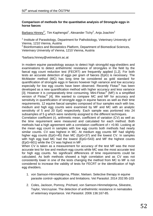#### **Comparison of methods for the quantitative analysis of Strongyle eggs in horse faeces**

<u>Barbara Hinney<sup>1\*</sup>,</u> Tim Kaphengst<sup>1</sup>, Alexander Tichy<sup>2</sup>, Anja Joachim<sup>1</sup>

<sup>1</sup> Institute of Parasitology, Department for Pathobiology, Veterinary University of Vienna, 1210 Vienna, Austria

<sup>2</sup> Bioinformatics and Biostatistics Platform, Department of Biomedical Sciences, Veterinary University of Vienna, 1210 Vienna, Austria

\*barbara.hinney@vetmeduni.ac.at

In modern equine parasitology assays to detect high strongylid egg-shedders and examinations to detect anthelmintic resistance of strongyles in the field by the faecal egg count reduction test (FECRT) are frequently applied [1,2]. For both tests an accurate detection of eggs per gram of faeces (EpG) is necessary. The McMaster method (MC) has long time be considered as gold standard for quantification of strongyle eggs in faeces however high variance and low accuracy especially for low egg counts have been observed. Recently Flotac® has been developed as a new quantification method with higher accuracy and less variance [3]. However it is comparatively time consuming. Mini-Flotac® (MF) is a simplified version of Flotac® [4]. We wanted to compare MC and MF for accuracy and sensitivity in quantification of strongyle eggs in equine faeces as well as their time requirements. 12 equine faecal samples composed of four samples each with low, medium and high egg counts were examined by MF and MC with an analytic sensitivity of 5 and 20 EpG respectively. Each sample was portioned into 24 subsamples of 5 g which were randomly assigned to the different techniques.

Correlation coefficient (r), arithmetic mean, coefficient of variation (CV) as well as the time requirement were measured and calculated for each method. Both methods had a high agreement with a correlation coefficient of r >0.90. Looking at the mean egg count in samples with low egg counts both methods had nearly similar counts. CV was highest in MC. At medium egg counts MF had slightly higher egg counts (EpG=45) than MC (EpG=37) and the lowest CV. In samples with high egg load MC had the lowest (EpG=543) and MF the highest counts (EpG=601) while the CV was highest in MF.

When CV is taken as a measurement for accuracy of the test MF was the most accurate test for low and medium egg counts while MC was the most accurate test for high egg counts. No significant differences of time requirements could be calculated. As both methods showed a high correlation and as CV was not consistently lower in one of the tests changing the method from MC to MF is not considered to increase the validity of tests for FECRT or the identification of high egg shedders.

- 1. von Samson-Himmelstjerna, Pfister, Nielsen. Selective therapy in equine parasite control--application and limitations. Vet Parasitol. 2014 202:95-103
- 2. Coles, Jackson, Pomroy, Prichard, von Samson-Himmelstjerna, Silvestre, Taylor, Vercruysse. The detection of anthelmintic resistance in nematodes of veterinary importance. Vet Parasitol. 2006 136:167-85.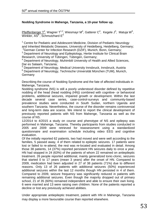#### **Nodding Syndrome in Mahenge, Tanzania, a 10-year follow up.**

Pfeiffenberger T<sup>4</sup>, Wagner T<sup>1,2</sup>, Wiesmayr M<sup>4</sup>, Gatterer C<sup>4</sup>, Kegele J<sup>3</sup>, Matuja W<sup>5</sup>, Winkler,  $AS^6$ , Schmutzhard  $E^4$ 

 $1$  Centre for Pediatric and Adolescent Medicine, Division of Pediatric Neurology and Inherited Metabolic Diseases, University of Heidelberg, Heidelberg, Germany;

<sup>2</sup>German Center for Infection Research (DZIF), Munich, Bonn, Germany; <sup>3</sup> Department of Neurology and Epileptology, Hertie Institute for Clinical Brain Research, University of Tübingen, Tübingen, Germany;

<sup>4</sup> Department of Neurology, Muhimbili University of Health and Allied Sciences, Dar es Salaam, Tanzania;

<sup>5</sup> Department of Neurology, Medical University Innsbruck, Innsbruck, Austria <sup>6</sup> Department of Neurology, Technische Universität München (TUM), Munich, **Germany** 

Describing the course of Nodding Syndrome and the fate of affected individuals in Mahenge, Tanzania.

Nodding syndrome (NS) is still a poorly understood disorder defined by repetitive nodding of the head (head nodding (HN)) combined with cognitive- or behavioral problems, additional seizures, impaired growth or development. Within the last decade several case series, case-control-surveys and community-based prevalence studies were conducted in South Sudan, northern Uganda and southern Tanzania. Nevertheless, the course of the disorder remains controversial and long-term data are scarce. We intend to report the clinical development of previously reported patients with NS from Mahenge, Tanzania as well as the course of NS.

12/2014 to 4/2015 a study on course and phenotype of NS and epilepsy was performed in Mahenge, Tanzania. Thereby participants from studies conducted in 2005 and 2009 were retrieved for reassessment using a standardized questionnaire and examination schedule including video EEG and cognitive evaluation.

Of the initially reported 62 patients, two had moved and were well according to the families, 5 passed away, 4 of them related to epileptic seizures. 17 patients were lost or failed to re-attend, the rest was re-located and evaluated in detail. Among those 38 patients, 14 (37%) reported persistent HN seizures daily to once a year. HN had stopped in 24 (63%) of the patients of whom 22 remained on antiepileptic treatment. 26 people reported additional, mainly generalized tonic-clonic, seizures that started 0 to 17 years (mean 3 years) after the onset of HN. Compared to 2009, medication had been adjusted in 27 of 38 patients (71%) due to different reasons. Only 13 of 26 patients with additional seizures (50%) experienced additional seizures within the last 12 months though HN persisted in 4 of them. Compared to 2009, seizure frequency was significantly reduced in patients with remaining additional seizures. Even though the majority dropped out of primary school, 21 of 35 (60%) remained independent and able to ensure their own living. 6 were married and 13 were raising own children. None of the patients reported a decline or lost any previously achieved abilities.

Under appropriate antiepileptic treatment, patient with HN in Mahenge, Tanzania may display a more favourable course than reported elsewhere.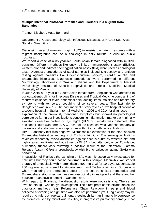#### **Multiple Intestinal Protozoal Parasites and Filariasis in a Migrant from Bangladesh**

#### Trattner Elisabeth, Haas Bernhard

Department of Gastroenterology with Infectious Diseases, LKH Graz Süd-West, Standort West, Graz

Diagnosing fever of unknown origin (FUO) in Austrian long-term residents with a migrant background can be a challenge in daily routine in Austrian public hospitals.

We report a case of a 35 year-old South Asian female diagnosed with multiple parasites. Different methods like enzyme-linked immunosorbent assay (ELISA), western blot and indirect haemagglutination assay (IHA) were used as serological tests. Diagnostic procedures of stool samples included Microscopy and antigen testing against parasites like Cryptosporidium parvum, Giardia lamblia and Entamoeba histolytica. Diagnostic procedures were performed in different Microbiology laboratories in Graz and Vienna and the Department of Medical Parasitology, Institute of Specific Prophylaxis and Tropical Medicine, Medical University of Vienna.

In June 2016 a 35 year old South Asian female from Bangladesh was admitted to our outpatient's clinic for Infectious Diseases and Tropical Medicine complaining of recurrent episodes of fever, abdominal pain, aching limbs, malaise and respiratory symptoms with temporary coughing since several years. The last trip to Bangladesh was in 2015. The past medical history revealed two hospitalizations at a second hospital in Styria, Internal Medicine in 2006 and 2014 for diagnostic

exploration of the previously mentioned symptoms but showed no pathological correlate so far. In our investigations concerning inflammation markers a minimally elevated c-reactive protein of 1,4 mg/dl (ULN 0,5 mg/dl) was detected. The eosinophil count was normal. A CT scan of the chest showed lymphadenopathy of the axilla and abdominal sonography was without any pathological findings.

HIV-1/2 antibody test was negative. Microscopic examination of the stool showed Entamoeba histolytica and eggs of Trichuris trichiura. The serological findings revealed repeatedly raised antibodies against ascaris suum by western blot and highly raised antifilarial antibody titres by ELISA – but latter only once. To rule out pulmonary tuberculosis following a positive result of the Interferon- Gamma Release Assay (IGRA) a bronchoskopy with bronchoalveolar lavage (BAL) was performed.

In suspicion of Filariasis the sampling of BAL was microscopically investigated for helminths but they could not be confirmed in this sample. Meanwhile we started therapy of amoebiasis with metronidazole 500 mg b.i.d for 10 days. Mebendazole 200 mg was administered for Ascaris suum and Trichuris trichiura. Surprisingly when monitoring the therapeutic effect on the soil transmitted nematodes and Entamoeba a stool specimen was microscopically investigated and there another parasite - Blastocystis hominis - was detected.

With regard to Filariasis, the diagnostic results were not satisfying. The serum level of total IgE was not yet investigated. The direct proof of microfilaria molecular diagnostic methods (e.g. Polymerase Chain Reaction) in peripheral blood collected at evening or night time was also not performed yet. Lung biopsy may be required to rule out tropical pulmonary eosinophilia - an immune hyperresponse syndrome caused by microfilaria resulting in progressive pulmonary damage if not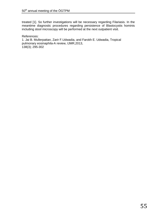treated [1]. So further investigations will be necessary regarding Filariasis. In the meantime diagnostic procedures regarding persistence of Blastocystis hominis including stool microscopy will be performed at the next outpatient visit.

References: 1. Jai B. Mullerpattan, Zarir F.Udwadia, and Farokh E. Udwadia, Tropical pulmonary eosinaphila-A review, IJMR,2013, 138(3); 295-302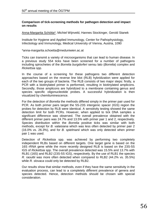#### **Comparison of tick-screening methods for pathogen detection and impact on results**

Anna-Margarita Schötta\*, Michiel Wijnveld, Hannes Stockinger, Gerold Stanek

Institute for Hygiene and Applied Immunology, Center for Pathophysiology, Infectiology and Immunology, Medical University of Vienna, Austria, 1090

\*anna-margarita.schoetta@meduniwien.ac.at

Ticks can transmit a variety of microorganisms that can lead to human disease. In a previous study 554 ticks have been screened for a number of pathogens including spirochetes of the *Borrelia burgdorferi* sensu lato (*Borrelia*) complex and *Rickettsia* spp.

In the course of a screening for these pathogens two different detection approaches based on the reverse line blot (RLB) hybridization were applied for each of the two groups of bacteria. The RLB consists of two major steps: firstly, a PCR with a biotinylated primer is performed, resulting in biotinylated amplicons. Secondly, those amplicons are hybridized to a membrane containing genus and species specific oligonucleotide probes. A successful hybridization is then visualized by chemiluminescence.

For the detection of *Borrelia* the methods differed simply in the primer pair used for PCR. As both primer pairs target the 5S-23S intergenic spacer (IGS) region the probes for detection by RLB were identical. A sensitivity testing showed the same detection limit for both PCRs. However, when applied to tick DNA samples a significant difference was observed. The overall prevalence obtained with the different primer pairs was 24.7% and 13.5% with primer pair 1 and 2, respectively. Species distribution within the *Borrelia* positive ticks was similar with both methods, except for *B. valaisiana* which was less often detected by primer pair 2 (16.0% vs. 26.3%), and for *B. spielmanii* which was only detected when primer pair 1 was used.

Detection of *Rickettsia* spp. was achieved by performing two completely independent RLBs based on different targets. One target gene is based on the 16S rRNA gene while the more recently designed RLB is based on the 23S-5S IGS of *Rickettsia* spp. The overall prevalence detected was 15.5% and 13.7% with RLB1 (16S) and RLB2 (23S-5S IGS), respectively. By the use of RLB1 the species *R. raoultii* was more often detected when compared to RLB2 (44.2% vs. 35.5%) while *R. slovaca* could only be detected by RLB2.

Our results show that similar methods, even if they have the same sensitivity in the evaluation process, can lead to a completely different prevalence of genera and species detected. Hence, detection methods should be chosen with special consideration.